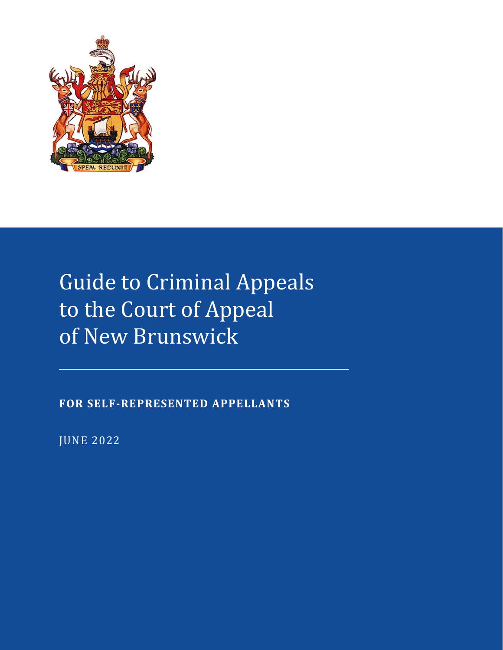

# Guide to Criminal Appeals to the Court of Appeal of New Brunswick

**FOR SELF-REPRESENTED APPELLANTS**

JUNE 2022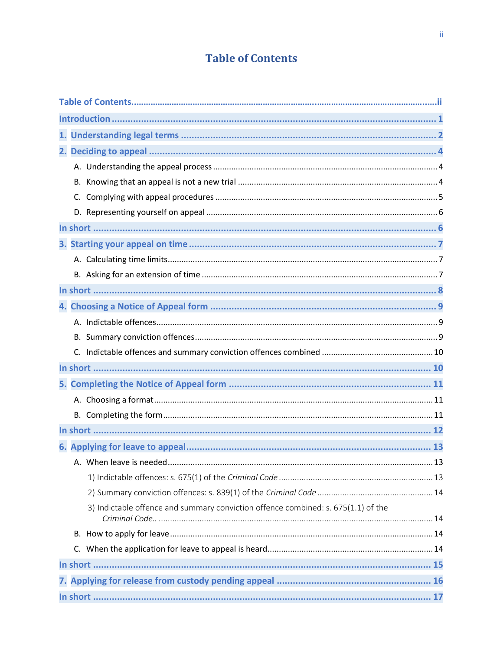# **Table of Contents**

|  | 3) Indictable offence and summary conviction offence combined: s. 675(1.1) of the |  |
|--|-----------------------------------------------------------------------------------|--|
|  |                                                                                   |  |
|  |                                                                                   |  |
|  |                                                                                   |  |
|  |                                                                                   |  |
|  |                                                                                   |  |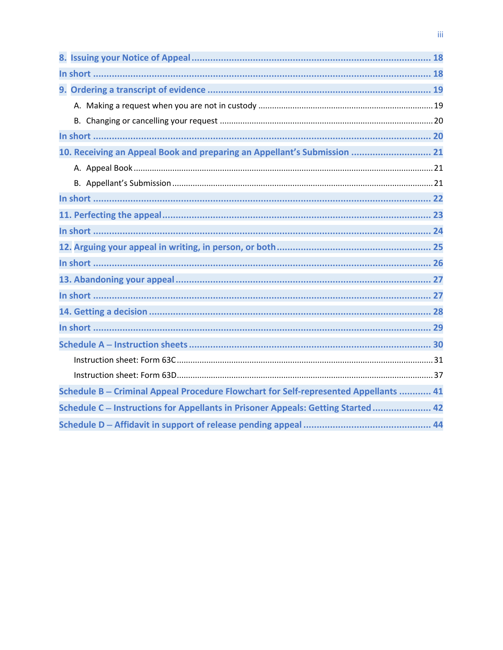| 10. Receiving an Appeal Book and preparing an Appellant's Submission  21             |
|--------------------------------------------------------------------------------------|
|                                                                                      |
|                                                                                      |
|                                                                                      |
|                                                                                      |
|                                                                                      |
|                                                                                      |
|                                                                                      |
|                                                                                      |
|                                                                                      |
|                                                                                      |
|                                                                                      |
|                                                                                      |
|                                                                                      |
|                                                                                      |
| Schedule B - Criminal Appeal Procedure Flowchart for Self-represented Appellants  41 |
| Schedule C - Instructions for Appellants in Prisoner Appeals: Getting Started 42     |
|                                                                                      |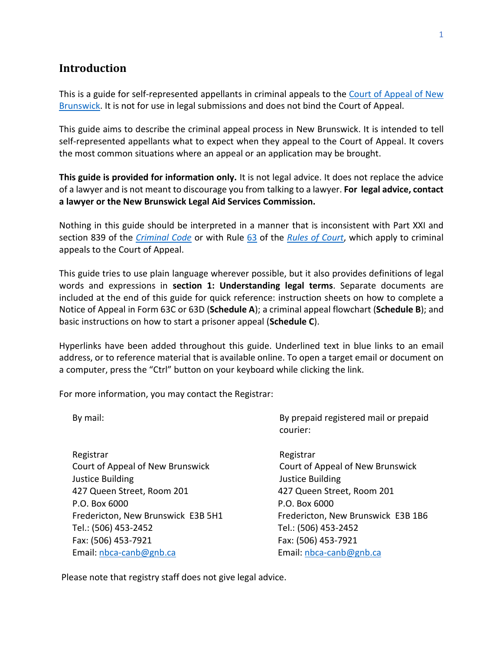#### <span id="page-3-0"></span>**Introduction**

This is a guide for self-represented appellants in criminal appeals to the Court of Appeal of New [Brunswick.](https://www.courtsnb-coursnb.ca/content/cour/en/appeal.html) It is not for use in legal submissions and does not bind the Court of Appeal.

This guide aims to describe the criminal appeal process in New Brunswick. It is intended to tell self-represented appellants what to expect when they appeal to the Court of Appeal. It covers the most common situations where an appeal or an application may be brought.

**This guide is provided for information only.** It is not legal advice. It does not replace the advice of a lawyer and is not meant to discourage you from talking to a lawyer. **For legal advice, contact a lawyer or the New Brunswick Legal Aid Services Commission.**

Nothing in this guide should be interpreted in a manner that is inconsistent with Part XXI and section 839 of the *[Criminal Code](https://www.laws-lois.justice.gc.ca/PDF/C-46.pdf)* or with Rule [63](http://laws.gnb.ca/en/ShowPdf/cr/Rule-63.pdf) of the *[Rules of Court](https://www2.gnb.ca/content/dam/gnb/Departments/ag-pg/PDF/en/rule/RULES.pdf)*, which apply to criminal appeals to the Court of Appeal.

This guide tries to use plain language wherever possible, but it also provides definitions of legal words and expressions in **[section 1: Understanding legal terms](#page-4-0)**. Separate documents are included at the end of this guide for quick reference: instruction sheets on how to complete a Notice of Appeal in Form 63C or 63D (**Schedule A**); a criminal appeal flowchart (**Schedule B**); and basic instructions on how to start a prisoner appeal (**Schedule C**).

Hyperlinks have been added throughout this guide. Underlined text in blue links to an email address, or to reference material that is available online. To open a target email or document on a computer, press the "Ctrl" button on your keyboard while clicking the link.

For more information, you may contact the Registrar:

Registrar Registrar Registrar Registrar Registrar Court of Appeal of New Brunswick Court of Appeal of New Brunswick Justice Building Justice Building 427 Queen Street, Room 201 427 Queen Street, Room 201 P.O. Box 6000 P.O. Box 6000 Fredericton, New Brunswick E3B 5H1 Fredericton, New Brunswick E3B 1B6 Tel.: (506) 453-2452 Tel.: (506) 453-2452 Fax: (506) 453-7921 Fax: (506) 453-7921 Email[: nbca-canb@gnb.ca](mailto:nbca-canb@gnb.ca) Email: [nbca-canb@gnb.ca](mailto:nbca-canb@gnb.ca)

By mail: By prepaid registered mail or prepaid courier:

Please note that registry staff does not give legal advice.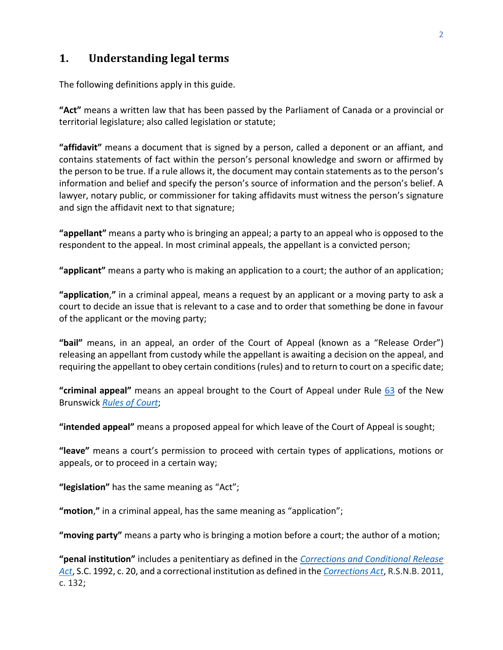# <span id="page-4-0"></span>**1. Understanding legal terms**

The following definitions apply in this guide.

**"Act"** means a written law that has been passed by the Parliament of Canada or a provincial or territorial legislature; also called legislation or statute;

**"affidavit"** means a document that is signed by a person, called a deponent or an affiant, and contains statements of fact within the person's personal knowledge and sworn or affirmed by the person to be true. If a rule allows it, the document may contain statements as to the person's information and belief and specify the person's source of information and the person's belief. A lawyer, notary public, or commissioner for taking affidavits must witness the person's signature and sign the affidavit next to that signature;

**"appellant"** means a party who is bringing an appeal; a party to an appeal who is opposed to the respondent to the appeal. In most criminal appeals, the appellant is a convicted person;

**"applicant"** means a party who is making an application to a court; the author of an application;

**"application**,**"** in a criminal appeal, means a request by an applicant or a moving party to ask a court to decide an issue that is relevant to a case and to order that something be done in favour of the applicant or the moving party;

**"bail"** means, in an appeal, an order of the Court of Appeal (known as a "Release Order") releasing an appellant from custody while the appellant is awaiting a decision on the appeal, and requiring the appellant to obey certain conditions (rules) and to return to court on a specific date;

**"criminal appeal"** means an appeal brought to the Court of Appeal under Rule [63](https://laws.gnb.ca/en/ShowPdf/cr/Rule-63.pdf) of the New Brunswick *[Rules of Court](https://www2.gnb.ca/content/dam/gnb/Departments/ag-pg/PDF/en/rule/RULES.pdf)*;

**"intended appeal"** means a proposed appeal for which leave of the Court of Appeal is sought;

**"leave"** means a court's permission to proceed with certain types of applications, motions or appeals, or to proceed in a certain way;

**"legislation"** has the same meaning as "Act";

**"motion**,**"** in a criminal appeal, has the same meaning as "application";

**"moving party"** means a party who is bringing a motion before a court; the author of a motion;

**"penal institution"** includes a penitentiary as defined in the *[Corrections and Conditional Release](https://laws-lois.justice.gc.ca/PDF/C-44.6.pdf)  [Act](https://laws-lois.justice.gc.ca/PDF/C-44.6.pdf)*, S.C. 1992, c. 20, and a correctional institution as defined in the *[Corrections Act](http://laws.gnb.ca/en/ShowPdf/cs/2011-c.132.pdf)*, R.S.N.B. 2011, c. 132;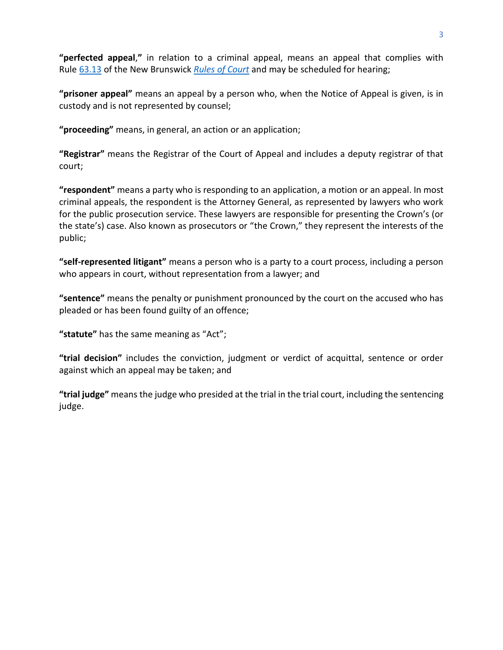**"perfected appeal**,**"** in relation to a criminal appeal, means an appeal that complies with Rule [63.13](https://laws.gnb.ca/en/ShowPdf/cr/Rule-63.pdf) of the New Brunswick *[Rules of Court](https://www2.gnb.ca/content/dam/gnb/Departments/ag-pg/PDF/en/rule/RULES.pdf)* and may be scheduled for hearing;

**"prisoner appeal"** means an appeal by a person who, when the Notice of Appeal is given, is in custody and is not represented by counsel;

**"proceeding"** means, in general, an action or an application;

**"Registrar"** means the Registrar of the Court of Appeal and includes a deputy registrar of that court;

**"respondent"** means a party who is responding to an application, a motion or an appeal. In most criminal appeals, the respondent is the Attorney General, as represented by lawyers who work for the public prosecution service. These lawyers are responsible for presenting the Crown's (or the state's) case. Also known as prosecutors or "the Crown," they represent the interests of the public;

**"self-represented litigant"** means a person who is a party to a court process, including a person who appears in court, without representation from a lawyer; and

**"sentence"** means the penalty or punishment pronounced by the court on the accused who has pleaded or has been found guilty of an offence;

**"statute"** has the same meaning as "Act";

**"trial decision"** includes the conviction, judgment or verdict of acquittal, sentence or order against which an appeal may be taken; and

**"trial judge"** means the judge who presided at the trial in the trial court, including the sentencing judge.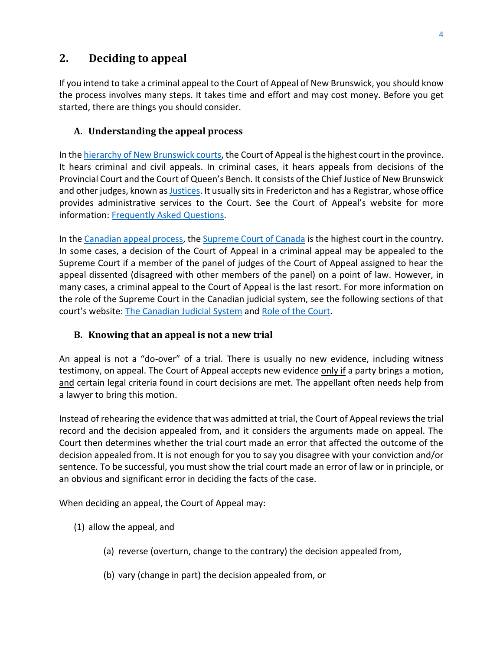# <span id="page-6-0"></span>**2. Deciding to appeal**

If you intend to take a criminal appeal to the Court of Appeal of New Brunswick, you should know the process involves many steps. It takes time and effort and may cost money. Before you get started, there are things you should consider.

#### <span id="page-6-1"></span>**A. Understanding the appeal process**

In the [hierarchy of New Brunswick](https://www.courtsnb-coursnb.ca/content/cour/en/overview.html) courts, the Court of Appeal is the highest court in the province. It hears criminal and civil appeals. In criminal cases, it hears appeals from decisions of the Provincial Court and the Court of Queen's Bench. It consists of the Chief Justice of New Brunswick and other judges, known a[s Justices.](https://www.courtsnb-coursnb.ca/content/cour/en/appeal/content/judges.html) It usually sits in Fredericton and has a Registrar, whose office provides administrative services to the Court. See the Court of Appeal's website for more information: [Frequently Asked Questions.](https://www.courtsnb-coursnb.ca/content/cour/en/appeal/content/faq.html)

In th[e Canadian appeal process,](https://www.justice.gc.ca/eng/csj-sjc/just/appeal-appel.html) the [Supreme Court of Canada](https://www.scc-csc.ca/home-accueil/index-eng.aspx) is the highest court in the country. In some cases, a decision of the Court of Appeal in a criminal appeal may be appealed to the Supreme Court if a member of the panel of judges of the Court of Appeal assigned to hear the appeal dissented (disagreed with other members of the panel) on a point of law. However, in many cases, a criminal appeal to the Court of Appeal is the last resort. For more information on the role of the Supreme Court in the Canadian judicial system, see the following sections of that court's website: [The Canadian Judicial System](https://www.scc-csc.ca/court-cour/sys-eng.aspx) an[d Role of the Court.](https://www.scc-csc.ca/court-cour/role-eng.aspx)

#### <span id="page-6-2"></span>**B. Knowing that an appeal is not a new trial**

An appeal is not a "do-over" of a trial. There is usually no new evidence, including witness testimony, on appeal. The Court of Appeal accepts new evidence only if a party brings a motion, and certain legal criteria found in court decisions are met. The appellant often needs help from a lawyer to bring this motion.

Instead of rehearing the evidence that was admitted at trial, the Court of Appeal reviews the trial record and the decision appealed from, and it considers the arguments made on appeal. The Court then determines whether the trial court made an error that affected the outcome of the decision appealed from. It is not enough for you to say you disagree with your conviction and/or sentence. To be successful, you must show the trial court made an error of law or in principle, or an obvious and significant error in deciding the facts of the case.

When deciding an appeal, the Court of Appeal may:

- (1) allow the appeal, and
	- (a) reverse (overturn, change to the contrary) the decision appealed from,
	- (b) vary (change in part) the decision appealed from, or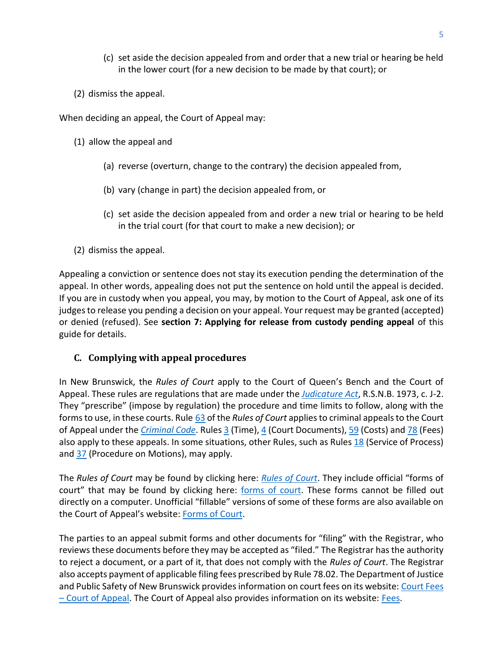- (c) set aside the decision appealed from and order that a new trial or hearing be held in the lower court (for a new decision to be made by that court); or
- (2) dismiss the appeal.

When deciding an appeal, the Court of Appeal may:

- (1) allow the appeal and
	- (a) reverse (overturn, change to the contrary) the decision appealed from,
	- (b) vary (change in part) the decision appealed from, or
	- (c) set aside the decision appealed from and order a new trial or hearing to be held in the trial court (for that court to make a new decision); or
- (2) dismiss the appeal.

Appealing a conviction or sentence does not stay its execution pending the determination of the appeal. In other words, appealing does not put the sentence on hold until the appeal is decided. If you are in custody when you appeal, you may, by motion to the Court of Appeal, ask one of its judges to release you pending a decision on your appeal. Your request may be granted (accepted) or denied (refused). See **[section 7: Applying for release from custody pending appeal](#page-17-1)** of this guide for details.

#### <span id="page-7-0"></span>**C. Complying with appeal procedures**

In New Brunswick, the *Rules of Court* apply to the Court of Queen's Bench and the Court of Appeal. These rules are regulations that are made under the *[Judicature Act](http://laws.gnb.ca/en/ShowPdf/cs/J-2.pdf)*, R.S.N.B. 1973, c. J-2. They "prescribe" (impose by regulation) the procedure and time limits to follow, along with the forms to use, in these courts. Rule [63](http://laws.gnb.ca/en/ShowPdf/cr/Rule-63.pdf) of the *Rules of Court* applies to criminal appeals to the Court of Appeal under the *[Criminal Code](https://laws-lois.justice.gc.ca/eng/acts/C-46/)*. Rule[s 3](http://laws.gnb.ca/en/ShowPdf/cr/Rule-3.pdf) (Time), [4](https://laws.gnb.ca/en/ShowPdf/cr/Rule-4.pdf) (Court Documents)[, 59](http://laws.gnb.ca/en/ShowPdf/cr/Rule-59.pdf) (Costs) and [78](http://laws.gnb.ca/en/ShowPdf/cr/Rule-78.pdf) (Fees) also apply to these appeals. In some situations, other Rules, such as Rules [18](http://laws.gnb.ca/en/ShowPdf/cr/Rule-18.pdf) (Service of Process) and  $\frac{37}{3}$  (Procedure on Motions), may apply.

The *Rules of Court* may be found by clicking here: *[Rules of Court](https://www2.gnb.ca/content/gnb/en/departments/public-safety/attorney-general/content/acts_regulations/content/rules_of_court/rules_of_court.html)*. They include official "forms of court" that may be found by clicking here: [forms](https://www2.gnb.ca/content/gnb/en/departments/public-safety/attorney-general/content/acts_regulations/content/rules_of_court/forms.html) [of court.](https://www2.gnb.ca/content/gnb/en/departments/public-safety/attorney-general/content/acts_regulations/content/rules_of_court/forms.html) These forms cannot be filled out directly on a computer. Unofficial "fillable" versions of some of these forms are also available on the Court of Appeal's website: [Forms of Court.](https://www.courtsnb-coursnb.ca/content/cour/en/appeal/content/forms-of-court.html)

The parties to an appeal submit forms and other documents for "filing" with the Registrar, who reviews these documents before they may be accepted as "filed." The Registrar has the authority to reject a document, or a part of it, that does not comply with the *Rules of Court*. The Registrar also accepts payment of applicable filing fees prescribed by Rule 78.02. The Department of Justice and Public Safety of New Brunswick provides information on court fees on its website: Court Fees – [Court of Appeal.](https://www2.gnb.ca/content/gnb/en/departments/public-safety/services/services_renderer.5615.Court_Fees_-_Court_of_Appeal.html#serviceDescription) The Court of Appeal also provides information on its website: [Fees.](https://www.courtsnb-coursnb.ca/content/cour/en/appeal/content/fees.html)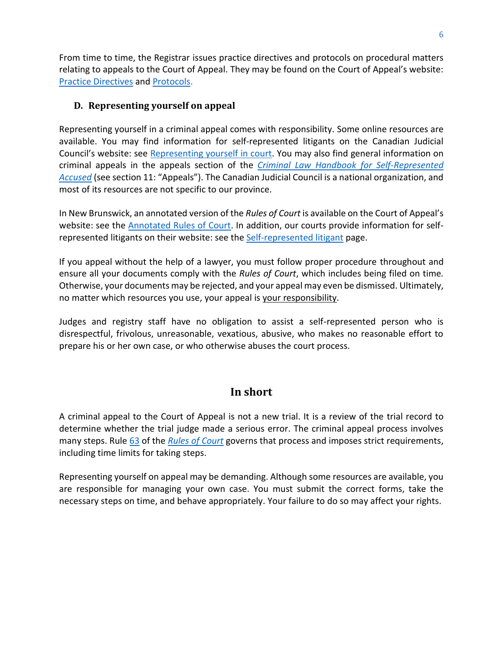From time to time, the Registrar issues practice directives and protocols on procedural matters relating to appeals to the Court of Appeal. They may be found on the Court of Appeal's website: [Practice Directives](https://www.courtsnb-coursnb.ca/content/cour/en/appeal/content/practice-directives.html) and [Protocols.](https://www.courtsnb-coursnb.ca/content/cour/en/appeal/content/protocols.html)

#### <span id="page-8-0"></span>**D. Representing yourself on appeal**

Representing yourself in a criminal appeal comes with responsibility. Some online resources are available. You may find information for self-represented litigants on the Canadian Judicial Council's website: see [Representing yourself in court.](https://cjc-ccm.ca/en/what-we-do/initiatives/representing-yourself-court) You may also find general information on criminal appeals in the appeals section of the *[Criminal Law Handbook](https://cjc-ccm.ca/sites/default/files/documents/2021/Criminal%20%20handbook%20-%20English%20MASTER%20FINAL%202021-03-30.pdf) for Self-Represented [Accused](https://cjc-ccm.ca/sites/default/files/documents/2021/Criminal%20%20handbook%20-%20English%20MASTER%20FINAL%202021-03-30.pdf)* (see section 11: "Appeals"). The Canadian Judicial Council is a national organization, and most of its resources are not specific to our province.

In New Brunswick, an annotated version of the *Rules of Court* is available on the Court of Appeal's website: see the **Annotated Rules of Court**. In addition, our courts provide information for self-represented litigants on their website: see the [Self-represented litigant](https://www.courtsnb-coursnb.ca/content/cour/en/self-represented-litigant.html) page.

If you appeal without the help of a lawyer, you must follow proper procedure throughout and ensure all your documents comply with the *Rules of Court*, which includes being filed on time*.*  Otherwise, your documents may be rejected, and your appeal may even be dismissed. Ultimately, no matter which resources you use, your appeal is your responsibility.

Judges and registry staff have no obligation to assist a self-represented person who is disrespectful, frivolous, unreasonable, vexatious, abusive, who makes no reasonable effort to prepare his or her own case, or who otherwise abuses the court process.

# **In short**

<span id="page-8-1"></span>A criminal appeal to the Court of Appeal is not a new trial. It is a review of the trial record to determine whether the trial judge made a serious error. The criminal appeal process involves many steps. Rule [63](http://laws.gnb.ca/en/ShowPdf/cr/Rule-63.pdf) of the *[Rules of Court](https://www2.gnb.ca/content/dam/gnb/Departments/ag-pg/PDF/en/rule/RULES.pdf)* governs that process and imposes strict requirements, including time limits for taking steps.

Representing yourself on appeal may be demanding. Although some resources are available, you are responsible for managing your own case. You must submit the correct forms, take the necessary steps on time, and behave appropriately. Your failure to do so may affect your rights.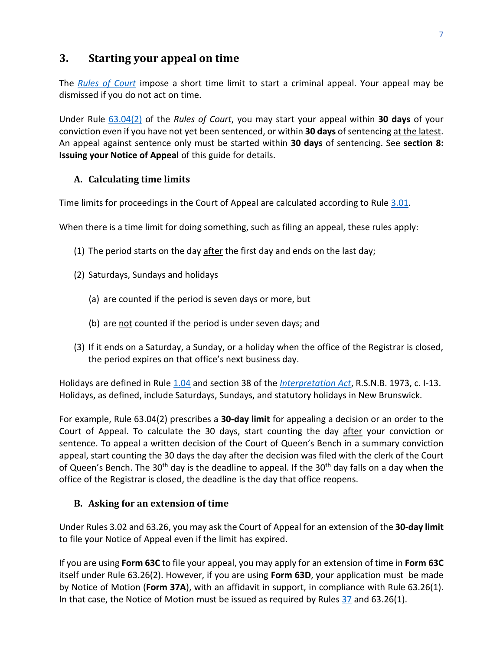## <span id="page-9-0"></span>**3. Starting your appeal on time**

The *[Rules of Court](https://www2.gnb.ca/content/dam/gnb/Departments/ag-pg/PDF/en/rule/RULES.pdf)* impose a short time limit to start a criminal appeal. Your appeal may be dismissed if you do not act on time.

Under Rule [63.04\(2\)](http://laws.gnb.ca/en/ShowPdf/cr/Rule-63.pdf) of the *Rules of Court*, you may start your appeal within **30 days** of your conviction even if you have not yet been sentenced, or within **30 days** of sentencing at the latest. An appeal against sentence only must be started within **30 days** of sentencing. See **[section 8:](#page-20-0)  [Issuing your Notice of Appeal](#page-20-0)** of this guide for details.

#### <span id="page-9-1"></span>**A. Calculating time limits**

Time limits for proceedings in the Court of Appeal are calculated according to Rule [3.01.](http://laws.gnb.ca/en/ShowPdf/cr/Rule-3.pdf)

When there is a time limit for doing something, such as filing an appeal, these rules apply:

- (1) The period starts on the day  $\frac{\text{after}}{\text{after}}$  the first day and ends on the last day;
- (2) Saturdays, Sundays and holidays
	- (a) are counted if the period is seven days or more, but
	- (b) are not counted if the period is under seven days; and
- (3) If it ends on a Saturday, a Sunday, or a holiday when the office of the Registrar is closed, the period expires on that office's next business day.

Holidays are defined in Rule [1.04](https://laws.gnb.ca/en/ShowPdf/cr/Rule-1.pdf) and section 38 of the *[Interpretation Act](https://laws.gnb.ca/en/ShowPdf/cs/I-13.pdf)*, R.S.N.B. 1973, c. I-13. Holidays, as defined, include Saturdays, Sundays, and statutory holidays in New Brunswick.

For example, Rule 63.04(2) prescribes a **30-day limit** for appealing a decision or an order to the Court of Appeal. To calculate the 30 days, start counting the day after your conviction or sentence. To appeal a written decision of the Court of Queen's Bench in a summary conviction appeal, start counting the 30 days the day after the decision was filed with the clerk of the Court of Queen's Bench. The 30<sup>th</sup> day is the deadline to appeal. If the 30<sup>th</sup> day falls on a day when the office of the Registrar is closed, the deadline is the day that office reopens.

#### <span id="page-9-2"></span>**B. Asking for an extension of time**

Under Rules [3.02](http://laws.gnb.ca/en/ShowPdf/cr/Rule-3.pdf) and 63.26, you may ask the Court of Appeal for an extension of the **30-day limit** to file your Notice of Appeal even if the limit has expired.

If you are using **Form 63C** to file your appeal, you may apply for an extension of time in **Form 63C** itself under Rule 63.26(2). However, if you are using **Form 63D**, your application must be made by Notice of Motion (**Form 37A**), with an affidavit in support, in compliance with Rule 63.26(1). In that case, the Notice of Motion must be issued as required by Rules [37](http://laws.gnb.ca/en/ShowPdf/cr/Rule-37.pdf) and 63.26(1).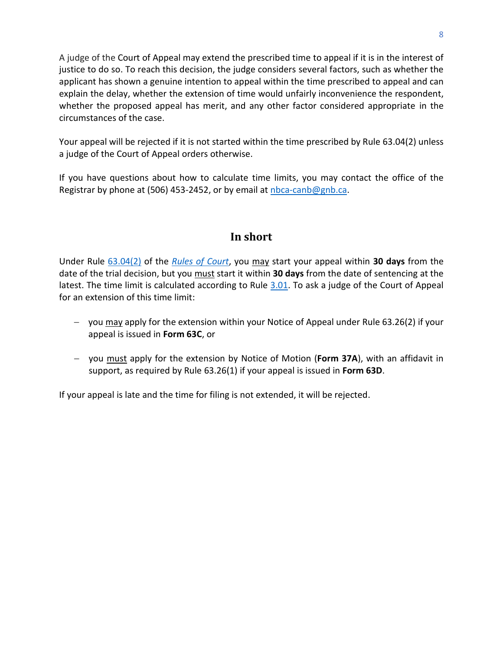A judge of the Court of Appeal may extend the prescribed time to appeal if it is in the interest of justice to do so. To reach this decision, the judge considers several factors, such as whether the applicant has shown a genuine intention to appeal within the time prescribed to appeal and can explain the delay, whether the extension of time would unfairly inconvenience the respondent, whether the proposed appeal has merit, and any other factor considered appropriate in the circumstances of the case.

Your appeal will be rejected if it is not started within the time prescribed by Rule [63.04\(2\)](http://laws.gnb.ca/en/ShowPdf/cr/Rule-63.pdf) unless a judge of the Court of Appeal orders otherwise.

If you have questions about how to calculate time limits, you may contact the office of the Registrar by phone at (506) 453-2452, or by email at [nbca-canb@gnb.ca.](mailto:nbca-canb@gnb.ca)

## **In short**

<span id="page-10-0"></span>Under Rule [63.04\(2\)](http://laws.gnb.ca/en/ShowPdf/cr/Rule-63.pdf) of the *[Rules of Court](https://www2.gnb.ca/content/dam/gnb/Departments/ag-pg/PDF/en/rule/RULES.pdf)*, you may start your appeal within **30 days** from the date of the trial decision, but you must start it within **30 days** from the date of sentencing at the latest. The time limit is calculated according to Rule [3.01.](http://laws.gnb.ca/en/ShowPdf/cr/Rule-3.pdf) To ask a judge of the Court of Appeal for an extension of this time limit:

- − you may apply for the extension within your Notice of Appeal under Rule 63.26(2) if your appeal is issued in **Form 63C**, or
- − you must apply for the extension by Notice of Motion (**Form 37A**), with an affidavit in support, as required by Rule 63.26(1) if your appeal is issued in **Form 63D**.

If your appeal is late and the time for filing is not extended, it will be rejected.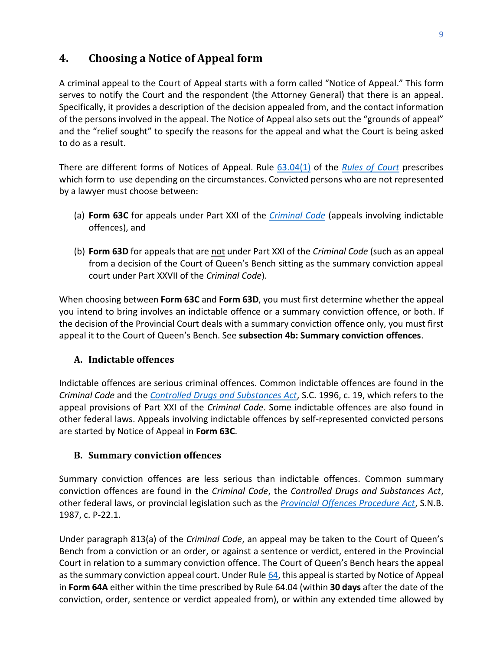# <span id="page-11-0"></span>**4. Choosing a Notice of Appeal form**

A criminal appeal to the Court of Appeal starts with a form called "Notice of Appeal." This form serves to notify the Court and the respondent (the Attorney General) that there is an appeal. Specifically, it provides a description of the decision appealed from, and the contact information of the persons involved in the appeal. The Notice of Appeal also sets out the "grounds of appeal" and the "relief sought" to specify the reasons for the appeal and what the Court is being asked to do as a result.

There are different forms of Notices of Appeal. Rule [63.04\(1\)](http://laws.gnb.ca/en/ShowPdf/cr/Rule-63.pdf) of the *[Rules of Court](https://www2.gnb.ca/content/dam/gnb/Departments/ag-pg/PDF/en/rule/RULES.pdf)* prescribes which form to use depending on the circumstances. Convicted persons who are not represented by a lawyer must choose between:

- (a) **Form 63C** for appeals under Part XXI of the *[Criminal Code](https://laws-lois.justice.gc.ca/PDF/C-46.pdf)* (appeals involving indictable offences), and
- (b) **Form 63D** for appeals that are not under Part XXI of the *Criminal Code* (such as an appeal from a decision of the Court of Queen's Bench sitting as the summary conviction appeal court under Part XXVII of the *Criminal Code*).

When choosing between **Form 63C** and **Form 63D**, you must first determine whether the appeal you intend to bring involves an indictable offence or a summary conviction offence, or both. If the decision of the Provincial Court deals with a summary conviction offence only, you must first appeal it to the Court of Queen's Bench. See **[subsection 4b: Summary conviction offences](#page-11-2)**.

#### <span id="page-11-1"></span>**A. Indictable offences**

Indictable offences are serious criminal offences. Common indictable offences are found in the *Criminal Code* and the *[Controlled Drugs and Substances Act](https://laws-lois.justice.gc.ca/PDF/C-38.8.pdf)*, S.C. 1996, c. 19, which refers to the appeal provisions of Part XXI of the *Criminal Code*. Some indictable offences are also found in other federal laws. Appeals involving indictable offences by self-represented convicted persons are started by Notice of Appeal in **Form 63C**.

#### <span id="page-11-2"></span>**B. Summary conviction offences**

Summary conviction offences are less serious than indictable offences. Common summary conviction offences are found in the *Criminal Code*, the *Controlled Drugs and Substances Act*, other federal laws, or provincial legislation such as the *[Provincial Offences Procedure Act](http://laws.gnb.ca/en/ShowPdf/cs/P-22.1.pdf)*, S.N.B. 1987, c. P-22.1.

Under paragraph 813(a) of the *Criminal Code*, an appeal may be taken to the Court of Queen's Bench from a conviction or an order, or against a sentence or verdict, entered in the Provincial Court in relation to a summary conviction offence. The Court of Queen's Bench hears the appeal as the summary conviction appeal court. Under Rul[e 64,](http://laws.gnb.ca/en/ShowPdf/cr/Rule-64.pdf) this appeal is started by Notice of Appeal in **Form 64A** either within the time prescribed by Rule 64.04 (within **30 days** after the date of the conviction, order, sentence or verdict appealed from), or within any extended time allowed by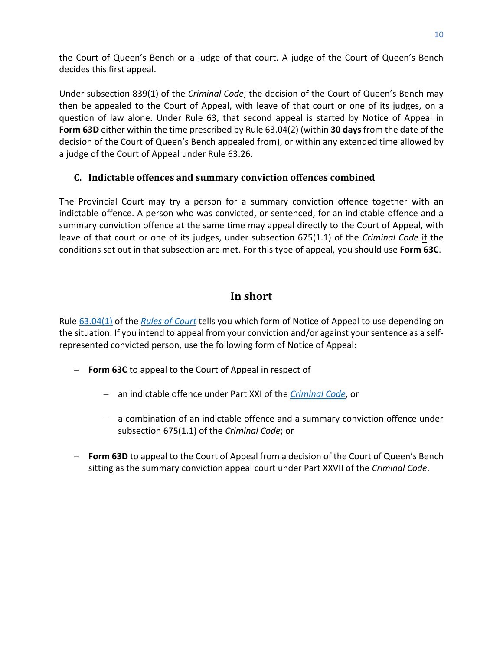the Court of Queen's Bench or a judge of that court. A judge of the Court of Queen's Bench decides this first appeal.

Under subsection 839(1) of the *Criminal Code*, the decision of the Court of Queen's Bench may then be appealed to the Court of Appeal, with leave of that court or one of its judges, on a question of law alone. Under Rule 63, that second appeal is started by Notice of Appeal in **Form 63D** either within the time prescribed by Rule 63.04(2) (within **30 days** from the date of the decision of the Court of Queen's Bench appealed from), or within any extended time allowed by a judge of the Court of Appeal under Rule 63.26.

#### <span id="page-12-0"></span>**C. Indictable offences and summary conviction offences combined**

The Provincial Court may try a person for a summary conviction offence together with an indictable offence. A person who was convicted, or sentenced, for an indictable offence and a summary conviction offence at the same time may appeal directly to the Court of Appeal, with leave of that court or one of its judges, under subsection 675(1.1) of the *Criminal Code* if the conditions set out in that subsection are met. For this type of appeal, you should use **Form 63C**.

## **In short**

<span id="page-12-1"></span>Rule [63.04\(1\)](http://laws.gnb.ca/en/ShowPdf/cr/Rule-63.pdf) of the *[Rules of Court](https://www2.gnb.ca/content/dam/gnb/Departments/ag-pg/PDF/en/rule/RULES.pdf)* tells you which form of Notice of Appeal to use depending on the situation. If you intend to appeal from your conviction and/or against your sentence as a selfrepresented convicted person, use the following form of Notice of Appeal:

- − **Form 63C** to appeal to the Court of Appeal in respect of
	- − an indictable offence under Part XXI of the *[Criminal Code](https://laws-lois.justice.gc.ca/PDF/C-46.pdf)*, or
	- − a combination of an indictable offence and a summary conviction offence under subsection 675(1.1) of the *Criminal Code*; or
- − **Form 63D** to appeal to the Court of Appeal from a decision of the Court of Queen's Bench sitting as the summary conviction appeal court under Part XXVII of the *Criminal Code*.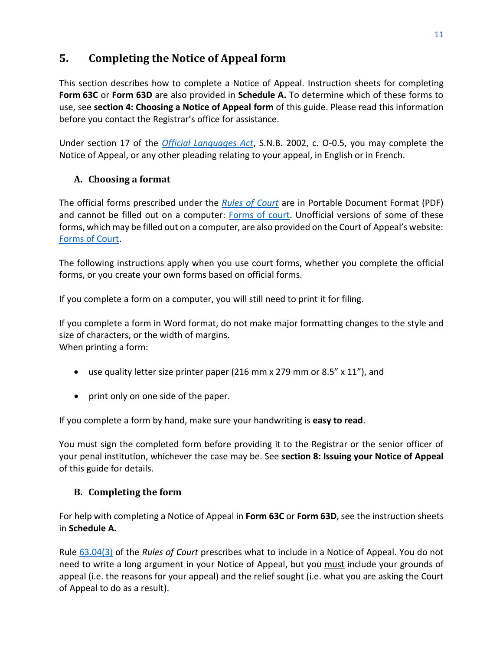# <span id="page-13-0"></span>**5. Completing the Notice of Appeal form**

This section describes how to complete a Notice of Appeal. Instruction sheets for completing **[Form](#page-33-0) 63C** or **[Form 63D](#page-39-0)** are also provided in **[Schedule A.](#page-32-0)** To determine which of these forms to use, see **section 4: [Choosing a Notice of Appeal](#page-11-0) form** of this guide. Please read this information before you contact the Registrar's office for assistance.

Under section 17 of the *[Official Languages Act](http://laws.gnb.ca/en/ShowPdf/cs/O-0.5.pdf)*, S.N.B. 2002, c. O-0.5, you may complete the Notice of Appeal, or any other pleading relating to your appeal, in English or in French.

## <span id="page-13-1"></span>**A. Choosing a format**

The official forms prescribed under the *[Rules of Court](https://www2.gnb.ca/content/dam/gnb/Departments/ag-pg/PDF/en/rule/RULES.pdf)* are in Portable Document Format (PDF) and cannot be filled out on a computer: [Forms](https://www2.gnb.ca/content/gnb/en/departments/public-safety/attorney-general/content/acts_regulations/content/rules_of_court/forms.html) [of court.](https://www2.gnb.ca/content/gnb/en/departments/public-safety/attorney-general/content/acts_regulations/content/rules_of_court/forms.html) Unofficial versions of some of these forms, which may be filled out on a computer, are also provided on the Court of Appeal's website: [Forms of Court.](https://www.courtsnb-coursnb.ca/content/cour/en/appeal/content/forms-of-court.html)

The following instructions apply when you use court forms, whether you complete the official forms, or you create your own forms based on official forms.

If you complete a form on a computer, you will still need to print it for filing.

If you complete a form in Word format, do not make major formatting changes to the style and size of characters, or the width of margins. When printing a form:

- use quality letter size printer paper (216 mm  $\times$  279 mm or 8.5"  $\times$  11"), and
- print only on one side of the paper.

If you complete a form by hand, make sure your handwriting is **easy to read**.

You must sign the completed form before providing it to the Registrar or the senior officer of your penal institution, whichever the case may be. See **section [8: Issuing your Notice of Appeal](#page-20-0)** of this guide for details.

#### <span id="page-13-2"></span>**B. Completing the form**

For help with completing a Notice of Appeal in **Form 63C** or **Form 63D**, see the instruction sheets in **[Schedule A.](#page-32-0)**

Rule [63.04\(3\)](http://laws.gnb.ca/en/ShowPdf/cr/Rule-63.pdf) of the *Rules of Court* prescribes what to include in a Notice of Appeal. You do not need to write a long argument in your Notice of Appeal, but you must include your grounds of appeal (i.e. the reasons for your appeal) and the relief sought (i.e. what you are asking the Court of Appeal to do as a result).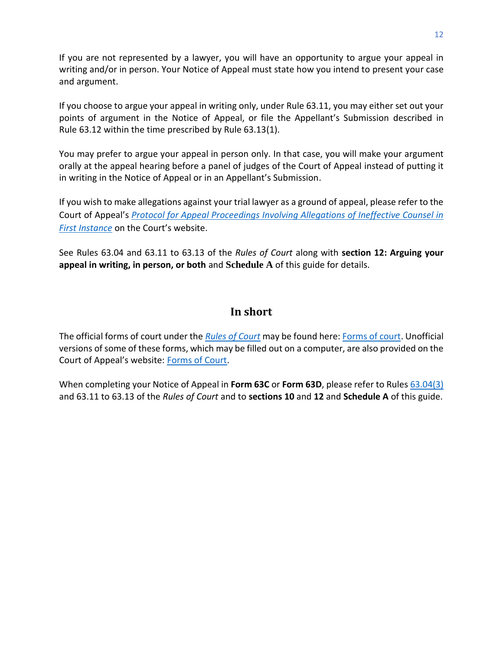If you are not represented by a lawyer, you will have an opportunity to argue your appeal in writing and/or in person. Your Notice of Appeal must state how you intend to present your case and argument.

If you choose to argue your appeal in writing only, under Rule 63.11, you may either set out your points of argument in the Notice of Appeal, or file the Appellant's Submission described in Rule 63.12 within the time prescribed by Rule 63.13(1).

You may prefer to argue your appeal in person only. In that case, you will make your argument orally at the appeal hearing before a panel of judges of the Court of Appeal instead of putting it in writing in the Notice of Appeal or in an Appellant's Submission.

If you wish to make allegations against your trial lawyer as a ground of appeal, please refer to the Court of Appeal's *[Protocol for Appeal Proceedings Involving Allegations of Ineffective Counsel in](https://www.courtsnb-coursnb.ca/content/dam/courts/pdf/appeal-appel/protocols-protocole/001-Protocol.pdf)  [First Instance](https://www.courtsnb-coursnb.ca/content/dam/courts/pdf/appeal-appel/protocols-protocole/001-Protocol.pdf)* on the Court's website.

See Rules 63.04 and 63.11 to 63.13 of the *Rules of Court* along with **[section 12: Arguing your](#page-27-0)  [appeal in writing, in person, or both](#page-27-0)** and **[Schedule A](A#_Schedule_)** of this guide for details.

## **In short**

<span id="page-14-0"></span>The official forms of court under the *[Rules of Court](https://www2.gnb.ca/content/dam/gnb/Departments/ag-pg/PDF/en/rule/RULES.pdf)* may be found here[: Forms](https://www2.gnb.ca/content/gnb/en/departments/public-safety/attorney-general/content/acts_regulations/content/rules_of_court/forms.html) [of court.](https://www2.gnb.ca/content/gnb/en/departments/public-safety/attorney-general/content/acts_regulations/content/rules_of_court/forms.html) Unofficial versions of some of these forms, which may be filled out on a computer, are also provided on the Court of Appeal's website: [Forms of Court.](https://www.courtsnb-coursnb.ca/content/cour/en/appeal/content/forms-of-court.html)

When completing your Notice of Appeal in **Form 63C** or **Form 63D**, please refer to Rules [63.04\(3\)](http://laws.gnb.ca/en/ShowPdf/cr/Rule-63.pdf) and 63.11 to 63.13 of the *Rules of Court* and to **[sections 10](#page-23-0)** and **[12](#page-27-0)** and **[Schedule A](#page-32-0)** of this guide.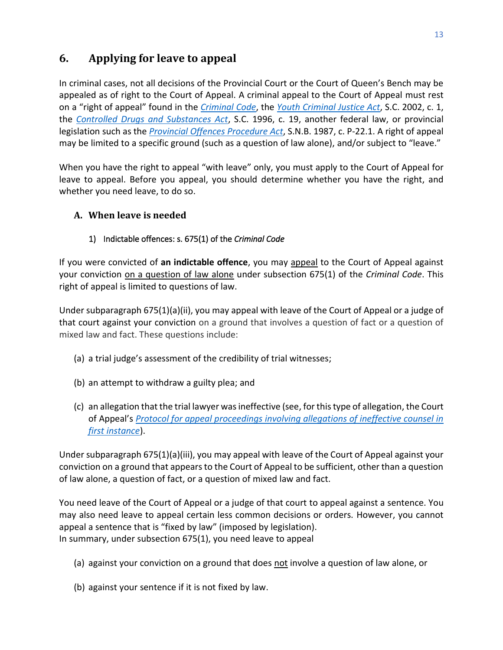# <span id="page-15-0"></span>**6. Applying for leave to appeal**

In criminal cases, not all decisions of the Provincial Court or the Court of Queen's Bench may be appealed as of right to the Court of Appeal. A criminal appeal to the Court of Appeal must rest on a "right of appeal" found in the *[Criminal Code](https://www.laws-lois.justice.gc.ca/PDF/C-46.pdf)*, the *[Youth Criminal Justice Act](https://laws-lois.justice.gc.ca/PDF/Y-1.5.pdf)*, S.C. 2002, c. 1, the *[Controlled Drugs and Substances Act](https://laws-lois.justice.gc.ca/PDF/C-38.8.pdf)*, S.C. 1996, c. 19, another federal law, or provincial legislation such as the *[Provincial Offences Procedure Act](http://laws.gnb.ca/en/ShowPdf/cs/P-22.1.pdf)*, S.N.B. 1987, c. P-22.1. A right of appeal may be limited to a specific ground (such as a question of law alone), and/or subject to "leave."

When you have the right to appeal "with leave" only, you must apply to the Court of Appeal for leave to appeal. Before you appeal, you should determine whether you have the right, and whether you need leave, to do so.

## <span id="page-15-1"></span>**A. When leave is needed**

#### <span id="page-15-2"></span>1) Indictable offences: s. 675(1) of the *Criminal Code*

If you were convicted of **an indictable offence**, you may appeal to the Court of Appeal against your conviction on a question of law alone under subsection 675(1) of the *Criminal Code*. This right of appeal is limited to questions of law.

Under subparagraph 675(1)(a)(ii), you may appeal with leave of the Court of Appeal or a judge of that court against your conviction on a ground that involves a question of fact or a question of mixed law and fact. These questions include:

- (a) a trial judge's assessment of the credibility of trial witnesses;
- (b) an attempt to withdraw a guilty plea; and
- (c) an allegation that the trial lawyer was ineffective (see, for this type of allegation, the Court of Appeal's *[Protocol for appeal proceedings involving allegations of ineffective counsel in](https://www.courtsnb-coursnb.ca/content/dam/courts/pdf/appeal-appel/protocols-protocole/001-Protocol.pdf)  [first instance](https://www.courtsnb-coursnb.ca/content/dam/courts/pdf/appeal-appel/protocols-protocole/001-Protocol.pdf)*).

Under subparagraph 675(1)(a)(iii), you may appeal with leave of the Court of Appeal against your conviction on a ground that appears to the Court of Appeal to be sufficient, other than a question of law alone, a question of fact, or a question of mixed law and fact.

You need leave of the Court of Appeal or a judge of that court to appeal against a sentence. You may also need leave to appeal certain less common decisions or orders. However, you cannot appeal a sentence that is "fixed by law" (imposed by legislation). In summary, under subsection 675(1), you need leave to appeal

- (a) against your conviction on a ground that does not involve a question of law alone, or
- (b) against your sentence if it is not fixed by law.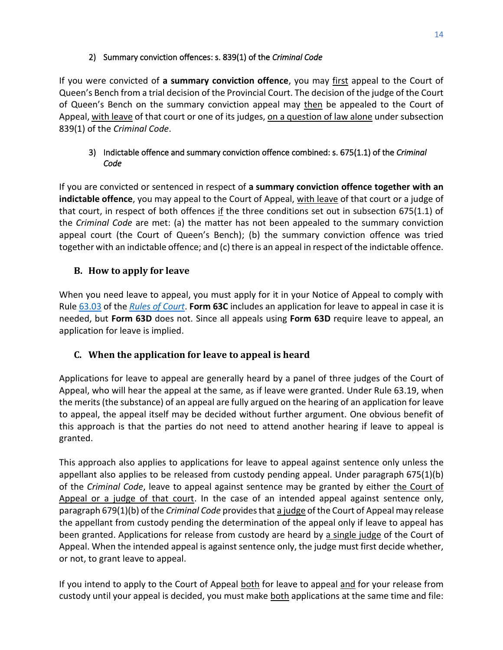#### 2) Summary conviction offences: s. 839(1) of the *Criminal Code*

<span id="page-16-0"></span>If you were convicted of **a summary conviction offence**, you may first appeal to the Court of Queen's Bench from a trial decision of the Provincial Court. The decision of the judge of the Court of Queen's Bench on the summary conviction appeal may then be appealed to the Court of Appeal, with leave of that court or one of its judges, on a question of law alone under subsection 839(1) of the *Criminal Code*.

#### <span id="page-16-1"></span>3) Indictable offence and summary conviction offence combined: s. 675(1.1) of the *Criminal Code*

If you are convicted or sentenced in respect of **a summary conviction offence together with an indictable offence**, you may appeal to the Court of Appeal, with leave of that court or a judge of that court, in respect of both offences if the three conditions set out in subsection 675(1.1) of the *Criminal Code* are met: (a) the matter has not been appealed to the summary conviction appeal court (the Court of Queen's Bench); (b) the summary conviction offence was tried together with an indictable offence; and (c) there is an appeal in respect of the indictable offence.

#### <span id="page-16-2"></span>**B. How to apply for leave**

When you need leave to appeal, you must apply for it in your Notice of Appeal to comply with Rule [63.03](http://laws.gnb.ca/en/ShowPdf/cr/Rule-63.pdf) of the *[Rules of Court](https://www2.gnb.ca/content/dam/gnb/Departments/ag-pg/PDF/en/rule/RULES.pdf)*. **Form 63C** includes an application for leave to appeal in case it is needed, but **Form 63D** does not. Since all appeals using **Form 63D** require leave to appeal, an application for leave is implied.

#### <span id="page-16-3"></span>**C. When the application for leave to appeal is heard**

Applications for leave to appeal are generally heard by a panel of three judges of the Court of Appeal, who will hear the appeal at the same, as if leave were granted. Under Rule 63.19, when the merits (the substance) of an appeal are fully argued on the hearing of an application for leave to appeal, the appeal itself may be decided without further argument. One obvious benefit of this approach is that the parties do not need to attend another hearing if leave to appeal is granted.

This approach also applies to applications for leave to appeal against sentence only unless the appellant also applies to be released from custody pending appeal. Under paragraph 675(1)(b) of the *Criminal Code*, leave to appeal against sentence may be granted by either the Court of Appeal or a judge of that court. In the case of an intended appeal against sentence only, paragraph 679(1)(b) of the *Criminal Code* provides that a judge of the Court of Appeal may release the appellant from custody pending the determination of the appeal only if leave to appeal has been granted. Applications for release from custody are heard by a single judge of the Court of Appeal. When the intended appeal is against sentence only, the judge must first decide whether, or not, to grant leave to appeal.

If you intend to apply to the Court of Appeal both for leave to appeal and for your release from custody until your appeal is decided, you must make both applications at the same time and file: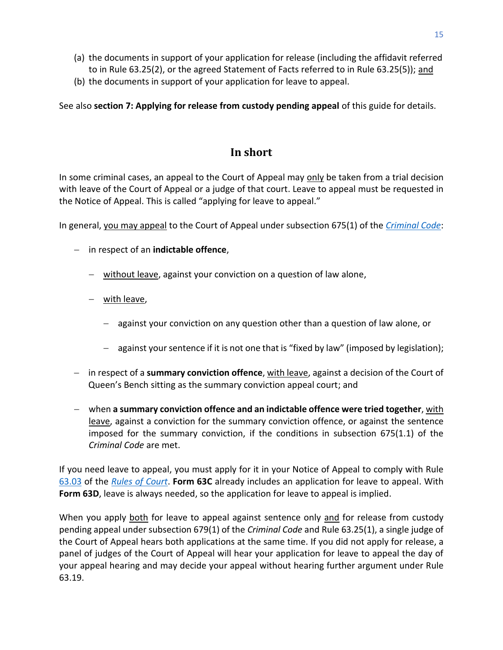- (a) the documents in support of your application for release (including the affidavit referred to in Rule 63.25(2), or the agreed Statement of Facts referred to in Rule 63.25(5)); and
- (b) the documents in support of your application for leave to appeal.

<span id="page-17-0"></span>See also **[section 7: Applying for release from custody pending appeal](#page-17-1)** of this guide for details.

# **In short**

In some criminal cases, an appeal to the Court of Appeal may only be taken from a trial decision with leave of the Court of Appeal or a judge of that court. Leave to appeal must be requested in the Notice of Appeal. This is called "applying for leave to appeal."

In general, you may appeal to the Court of Appeal under subsection 675(1) of the *[Criminal](https://laws-lois.justice.gc.ca/PDF/C-46.pdf) Code*:

- − in respect of an **indictable offence**,
	- − without leave, against your conviction on a question of law alone,
	- − with leave,
		- − against your conviction on any question other than a question of law alone, or
		- − against your sentence if it is not one that is "fixed by law" (imposed by legislation);
- − in respect of a **summary conviction offence**, with leave, against a decision of the Court of Queen's Bench sitting as the summary conviction appeal court; and
- − when **a summary conviction offence and an indictable offence were tried together**, with leave, against a conviction for the summary conviction offence, or against the sentence imposed for the summary conviction, if the conditions in subsection 675(1.1) of the *Criminal Code* are met.

If you need leave to appeal, you must apply for it in your Notice of Appeal to comply with Rule [63.03](http://laws.gnb.ca/en/ShowPdf/cr/Rule-63.pdf) of the *[Rules of Court](https://www2.gnb.ca/content/dam/gnb/Departments/ag-pg/PDF/en/rule/RULES.pdf)*. **Form 63C** already includes an application for leave to appeal. With **Form 63D**, leave is always needed, so the application for leave to appeal is implied.

<span id="page-17-1"></span>When you apply both for leave to appeal against sentence only and for release from custody pending appeal under subsection 679(1) of the *Criminal Code* and Rule 63.25(1), a single judge of the Court of Appeal hears both applications at the same time. If you did not apply for release, a panel of judges of the Court of Appeal will hear your application for leave to appeal the day of your appeal hearing and may decide your appeal without hearing further argument under Rule 63.19.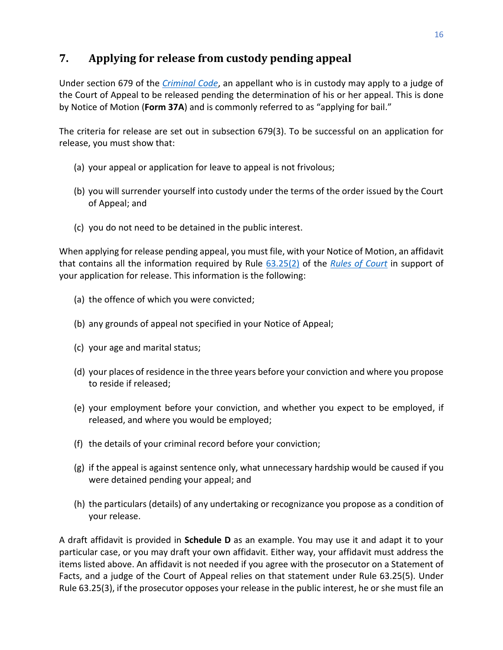# <span id="page-18-0"></span>**7. Applying for release from custody pending appeal**

Under section 679 of the *[Criminal Code](https://laws-lois.justice.gc.ca/PDF/C-46.pdf)*, an appellant who is in custody may apply to a judge of the Court of Appeal to be released pending the determination of his or her appeal. This is done by Notice of Motion (**Form 37A**) and is commonly referred to as "applying for bail."

The criteria for release are set out in subsection 679(3). To be successful on an application for release, you must show that:

- (a) your appeal or application for leave to appeal is not frivolous;
- (b) you will surrender yourself into custody under the terms of the order issued by the Court of Appeal; and
- (c) you do not need to be detained in the public interest.

When applying for release pending appeal, you must file, with your Notice of Motion, an affidavit that contains all the information required by Rule [63.25\(2\)](http://laws.gnb.ca/en/ShowPdf/cr/Rule-63.pdf) of the *[Rules of Court](https://www2.gnb.ca/content/dam/gnb/Departments/ag-pg/PDF/en/rule/RULES.pdf)* in support of your application for release. This information is the following:

- (a) the offence of which you were convicted;
- (b) any grounds of appeal not specified in your Notice of Appeal;
- (c) your age and marital status;
- (d) your places of residence in the three years before your conviction and where you propose to reside if released;
- (e) your employment before your conviction, and whether you expect to be employed, if released, and where you would be employed;
- (f) the details of your criminal record before your conviction;
- (g) if the appeal is against sentence only, what unnecessary hardship would be caused if you were detained pending your appeal; and
- (h) the particulars (details) of any undertaking or recognizance you propose as a condition of your release.

A draft affidavit is provided in **Schedule D** as an example. You may use it and adapt it to your particular case, or you may draft your own affidavit. Either way, your affidavit must address the items listed above. An affidavit is not needed if you agree with the prosecutor on a Statement of Facts, and a judge of the Court of Appeal relies on that statement under Rule 63.25(5). Under Rule 63.25(3), if the prosecutor opposes your release in the public interest, he or she must file an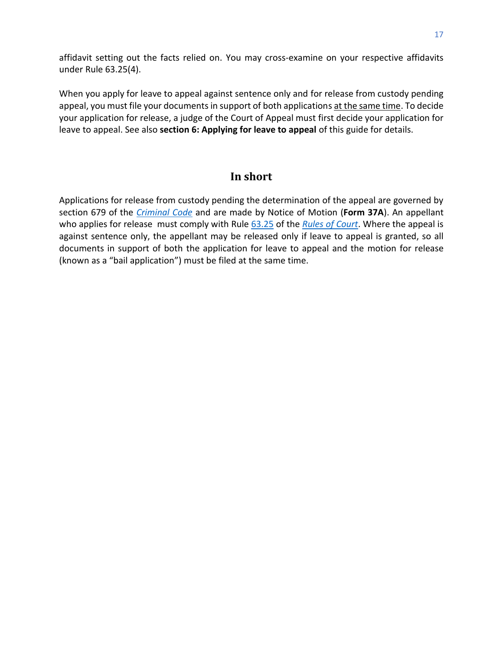affidavit setting out the facts relied on. You may cross-examine on your respective affidavits under Rule 63.25(4).

When you apply for leave to appeal against sentence only and for release from custody pending appeal, you must file your documents in support of both applications at the same time. To decide your application for release, a judge of the Court of Appeal must first decide your application for leave to appeal. See also **[section 6: Applying for leave to appeal](#page-15-0)** of this guide for details.

## **In short**

<span id="page-19-0"></span>Applications for release from custody pending the determination of the appeal are governed by section 679 of the *[Criminal Code](https://laws-lois.justice.gc.ca/PDF/C-46.pdf)* and are made by Notice of Motion (**Form 37A**). An appellant who applies for release must comply with Rule [63.25](https://laws.gnb.ca/en/ShowPdf/cr/Rule-63.pdf) of the *[Rules of Court](https://www2.gnb.ca/content/dam/gnb/Departments/ag-pg/PDF/en/rule/RULES.pdf)*. Where the appeal is against sentence only, the appellant may be released only if leave to appeal is granted, so all documents in support of both the application for leave to appeal and the motion for release (known as a "bail application") must be filed at the same time.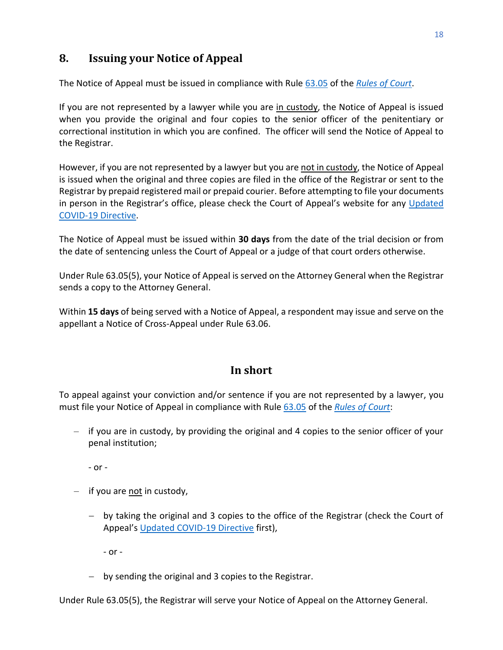# <span id="page-20-0"></span>**8. Issuing your Notice of Appeal**

The Notice of Appeal must be issued in compliance with Rule [63.05](http://laws.gnb.ca/en/ShowPdf/cr/Rule-63.pdf) of the *[Rules of Court](https://www2.gnb.ca/content/dam/gnb/Departments/ag-pg/PDF/en/rule/RULES.pdf)*.

If you are not represented by a lawyer while you are in custody, the Notice of Appeal is issued when you provide the original and four copies to the senior officer of the penitentiary or correctional institution in which you are confined. The officer will send the Notice of Appeal to the Registrar.

However, if you are not represented by a lawyer but you are not in custody, the Notice of Appeal is issued when the original and three copies are filed in the office of the Registrar or sent to the Registrar by prepaid registered mail or prepaid courier. Before attempting to file your documents in person in the Registrar's office, please check the Court of Appeal's website for any [Updated](https://www.courtsnb-coursnb.ca/content/dam/courts/pdf/nbca-updated-directive-1.pdf)  [COVID-19 Directive.](https://www.courtsnb-coursnb.ca/content/dam/courts/pdf/nbca-updated-directive-1.pdf)

The Notice of Appeal must be issued within **30 days** from the date of the trial decision or from the date of sentencing unless the Court of Appeal or a judge of that court orders otherwise.

Under Rule 63.05(5), your Notice of Appeal is served on the Attorney General when the Registrar sends a copy to the Attorney General.

Within **15 days** of being served with a Notice of Appeal, a respondent may issue and serve on the appellant a Notice of Cross-Appeal under Rule 63.06.

## <span id="page-20-2"></span>**In short**

<span id="page-20-1"></span>To appeal against your conviction and/or sentence if you are not represented by a lawyer, you must file your Notice of Appeal in compliance with Rule [63.05](http://laws.gnb.ca/en/ShowPdf/cr/Rule-63.pdf) of the *[Rules of Court](https://www2.gnb.ca/content/dam/gnb/Departments/ag-pg/PDF/en/rule/RULES.pdf)*:

– if you are in custody, by providing the original and 4 copies to the senior officer of your penal institution;

- or -

- $-$  if you are not in custody,
	- − by taking the original and 3 copies to the office of the Registrar (check the Court of Appeal's [Updated COVID-19 Directive](https://www.courtsnb-coursnb.ca/content/dam/courts/pdf/nbca-updated-directive-1.pdf) first),

- or -

− by sending the original and 3 copies to the Registrar.

Under Rule 63.05(5), the Registrar will serve your Notice of Appeal on the Attorney General.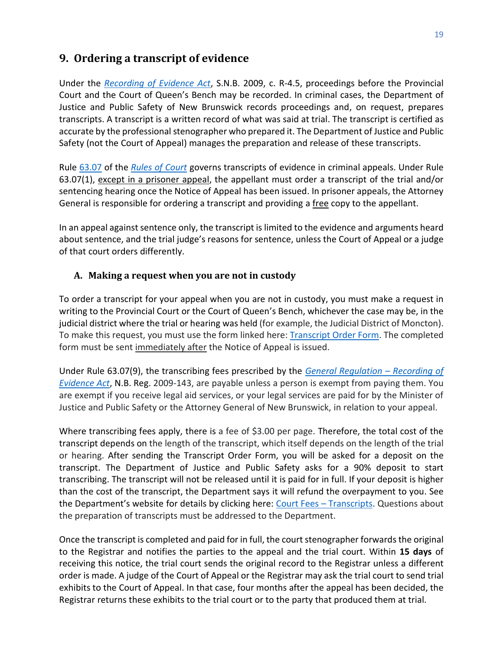# **9. Ordering a transcript of evidence**

Under the *[Recording of Evidence Act](http://laws.gnb.ca/en/ShowPdf/cs/R-4.5.pdf)*, S.N.B. 2009, c. R-4.5, proceedings before the Provincial Court and the Court of Queen's Bench may be recorded. In criminal cases, the Department of Justice and Public Safety of New Brunswick records proceedings and, on request, prepares transcripts. A transcript is a written record of what was said at trial. The transcript is certified as accurate by the professional stenographer who prepared it. The Department of Justice and Public Safety (not the Court of Appeal) manages the preparation and release of these transcripts.

Rule [63.07](http://laws.gnb.ca/en/ShowPdf/cr/Rule-63.pdf) of the *[Rules of Court](https://www2.gnb.ca/content/dam/gnb/Departments/ag-pg/PDF/en/rule/RULES.pdf)* governs transcripts of evidence in criminal appeals. Under Rule 63.07(1), except in a prisoner appeal, the appellant must order a transcript of the trial and/or sentencing hearing once the Notice of Appeal has been issued. In prisoner appeals, the Attorney General is responsible for ordering a transcript and providing a free copy to the appellant.

In an appeal against sentence only, the transcript is limited to the evidence and arguments heard about sentence, and the trial judge's reasons for sentence, unless the Court of Appeal or a judge of that court orders differently.

#### <span id="page-21-0"></span>**A. Making a request when you are not in custody**

To order a transcript for your appeal when you are not in custody, you must make a request in writing to the Provincial Court or the Court of Queen's Bench, whichever the case may be, in the judicial district where the trial or hearing was held (for example, the Judicial District of Moncton). To make this request, you must use the form linked here: [Transcript Order Form.](https://www.pxw1.snb.ca/snb7001/b/1000/CSS-FOL-SNB-45-0100B.pdf) The completed form must be sent immediately after the Notice of Appeal is issued.

Under Rule 63.07(9), the transcribing fees prescribed by the *[General Regulation](http://laws.gnb.ca/en/ShowPdf/cr/2009-143.pdf) – Recording of [Evidence](http://laws.gnb.ca/en/ShowPdf/cr/2009-143.pdf) Act*, N.B. Reg. 2009-143, are payable unless a person is exempt from paying them. You are exempt if you receive legal aid services, or your legal services are paid for by the Minister of Justice and Public Safety or the Attorney General of New Brunswick, in relation to your appeal.

Where transcribing fees apply, there is a fee of \$3.00 per page. Therefore, the total cost of the transcript depends on the length of the transcript, which itself depends on the length of the trial or hearing. After sending the Transcript Order Form, you will be asked for a deposit on the transcript. The Department of Justice and Public Safety asks for a 90% deposit to start transcribing. The transcript will not be released until it is paid for in full. If your deposit is higher than the cost of the transcript, the Department says it will refund the overpayment to you. See the Department's website for details by clicking here: [Court Fees](https://www2.gnb.ca/content/gnb/en/services/services_renderer.627.Court_Fees_-_Transcripts.html) - Transcripts. Questions about the preparation of transcripts must be addressed to the Department.

Once the transcript is completed and paid for in full, the court stenographer forwards the original to the Registrar and notifies the parties to the appeal and the trial court. Within **15 days** of receiving this notice, the trial court sends the original record to the Registrar unless a different order is made. A judge of the Court of Appeal or the Registrar may ask the trial court to send trial exhibits to the Court of Appeal. In that case, four months after the appeal has been decided, the Registrar returns these exhibits to the trial court or to the party that produced them at trial.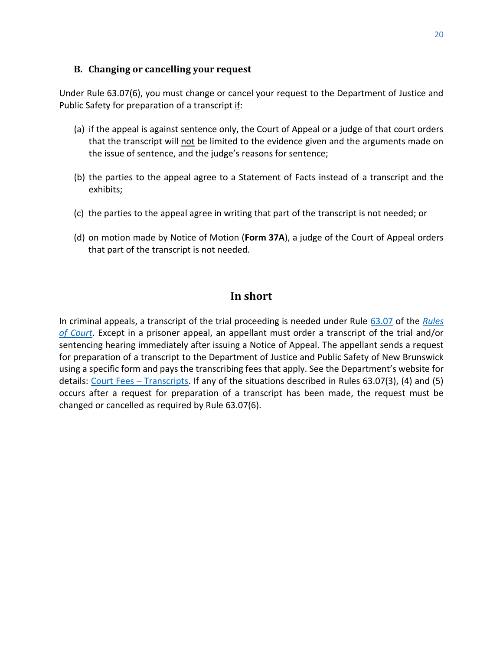#### <span id="page-22-0"></span>**B. Changing or cancelling your request**

Under Rule 63.07(6), you must change or cancel your request to the Department of Justice and Public Safety for preparation of a transcript if:

- (a) if the appeal is against sentence only, the Court of Appeal or a judge of that court orders that the transcript will not be limited to the evidence given and the arguments made on the issue of sentence, and the judge's reasons for sentence;
- (b) the parties to the appeal agree to a Statement of Facts instead of a transcript and the exhibits;
- (c) the parties to the appeal agree in writing that part of the transcript is not needed; or
- (d) on motion made by Notice of Motion (**Form 37A**), a judge of the Court of Appeal orders that part of the transcript is not needed.

## **In short**

<span id="page-22-1"></span>In criminal appeals, a transcript of the trial proceeding is needed under Rule [63.07](http://laws.gnb.ca/en/ShowPdf/cr/Rule-63.pdf) of the *[Rules](https://www2.gnb.ca/content/dam/gnb/Departments/ag-pg/PDF/en/rule/RULES.pdf)  [of Court](https://www2.gnb.ca/content/dam/gnb/Departments/ag-pg/PDF/en/rule/RULES.pdf)*. Except in a prisoner appeal, an appellant must order a transcript of the trial and/or sentencing hearing immediately after issuing a Notice of Appeal. The appellant sends a request for preparation of a transcript to the Department of Justice and Public Safety of New Brunswick using a specific form and pays the transcribing fees that apply. See the Department's website for details: [Court Fees](https://www2.gnb.ca/content/gnb/en/services/services_renderer.627.Court_Fees_-_Transcripts.html) – Transcripts. If any of the situations described in Rules 63.07(3), (4) and (5) occurs after a request for preparation of a transcript has been made, the request must be changed or cancelled as required by Rule 63.07(6).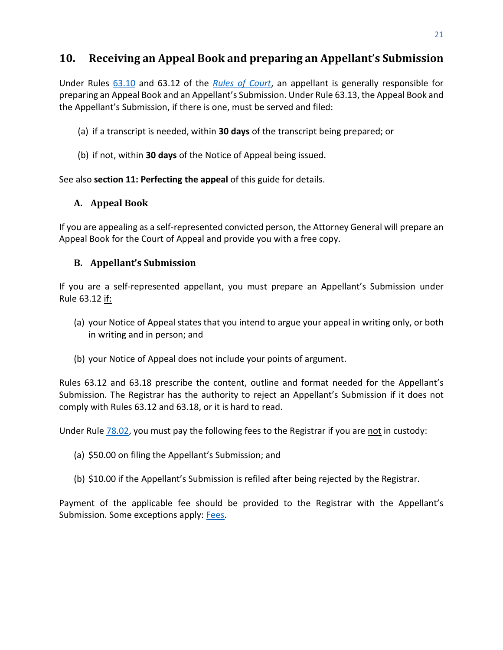# <span id="page-23-0"></span>**10. Receiving an Appeal Book and preparing an Appellant's Submission**

Under Rules [63.10](http://laws.gnb.ca/en/ShowPdf/cr/Rule-63.pdf) and [63.12](http://laws.gnb.ca/en/ShowPdf/cr/Rule-63.pdf) of the *[Rules of Court](https://www2.gnb.ca/content/dam/gnb/Departments/ag-pg/PDF/en/rule/RULES.pdf)*, an appellant is generally responsible for preparing an Appeal Book and an Appellant's Submission. Under Rule [63.13,](http://laws.gnb.ca/en/ShowPdf/cr/Rule-63.pdf) the Appeal Book and the Appellant's Submission, if there is one, must be served and filed:

- (a) if a transcript is needed, within **30 days** of the transcript being prepared; or
- (b) if not, within **30 days** of the Notice of Appeal being issued.

See also **[section 11: Perfecting the](#page-25-0) appeal** of this guide for details.

#### <span id="page-23-1"></span>**A. Appeal Book**

If you are appealing as a self-represented convicted person, the Attorney General will prepare an Appeal Book for the Court of Appeal and provide you with a free copy.

#### <span id="page-23-2"></span>**B. Appellant's Submission**

If you are a self-represented appellant, you must prepare an Appellant's Submission under Rule 63.12 if:

- (a) your Notice of Appeal states that you intend to argue your appeal in writing only, or both in writing and in person; and
- (b) your Notice of Appeal does not include your points of argument.

Rules [63.12](http://laws.gnb.ca/en/ShowPdf/cr/Rule-63.pdf) and [63.18](http://laws.gnb.ca/en/ShowPdf/cr/Rule-63.pdf) prescribe the content, outline and format needed for the Appellant's Submission. The Registrar has the authority to reject an Appellant's Submission if it does not comply with Rules [63.12](http://laws.gnb.ca/en/ShowPdf/cr/Rule-63.pdf) and [63.18,](http://laws.gnb.ca/en/ShowPdf/cr/Rule-63.pdf) or it is hard to read.

Under Rule [78.02,](http://laws.gnb.ca/en/ShowPdf/cr/Rule-78.pdf) you must pay the following fees to the Registrar if you are not in custody:

- (a) \$50.00 on filing the Appellant's Submission; and
- (b) \$10.00 if the Appellant's Submission is refiled after being rejected by the Registrar.

Payment of the applicable fee should be provided to the Registrar with the Appellant's Submission. Some exceptions apply: [Fees.](https://www2.gnb.ca/content/cour/en/appeal/content/fees.html)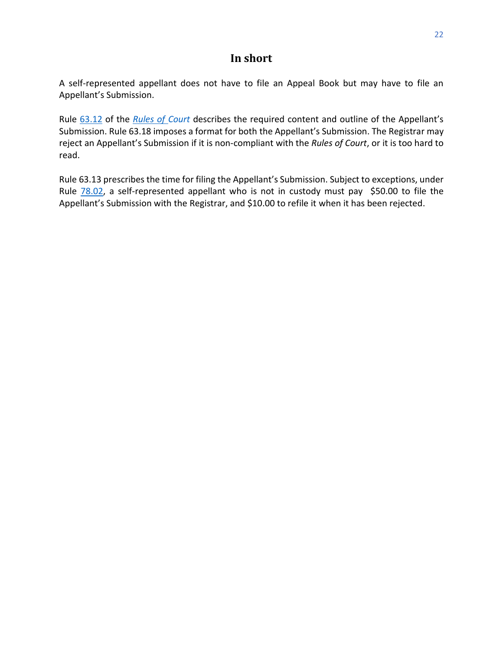## **In short**

<span id="page-24-0"></span>A self-represented appellant does not have to file an Appeal Book but may have to file an Appellant's Submission.

Rule [63.12](https://laws.gnb.ca/en/ShowPdf/cr/Rule-63.pdf) of the *[Rules of Court](https://www2.gnb.ca/content/dam/gnb/Departments/ag-pg/PDF/en/rule/RULES.pdf)* describes the required content and outline of the Appellant's Submission. Rule 63.18 imposes a format for both the Appellant's Submission. The Registrar may reject an Appellant's Submission if it is non-compliant with the *Rules of Court*, or it is too hard to read.

Rule [63.13](http://laws.gnb.ca/en/ShowPdf/cr/Rule-63.pdf) prescribes the time for filing the Appellant's Submission. Subject to exceptions, under Rule  $78.02$ , a self-represented appellant who is not in custody must pay \$50.00 to file the Appellant's Submission with the Registrar, and \$10.00 to refile it when it has been rejected.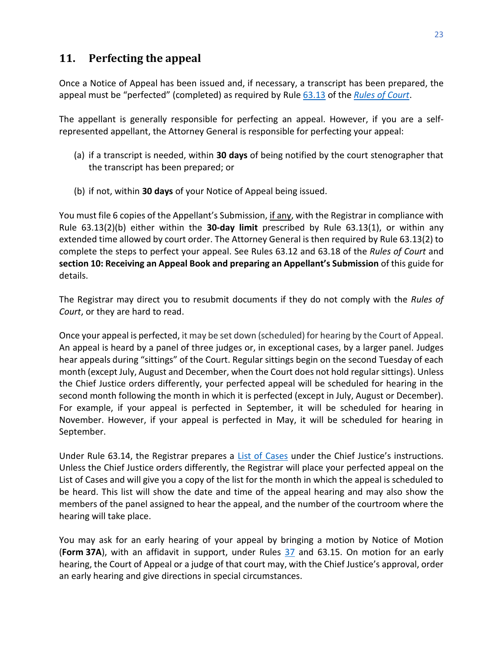## <span id="page-25-0"></span>**11. Perfecting the appeal**

Once a Notice of Appeal has been issued and, if necessary, a transcript has been prepared, the appeal must be "perfected" (completed) as required by Rule [63.13](http://laws.gnb.ca/en/ShowPdf/cr/Rule-63.pdf) of the *[Rules of Court](https://www2.gnb.ca/content/dam/gnb/Departments/ag-pg/PDF/en/rule/RULES.pdf)*.

The appellant is generally responsible for perfecting an appeal. However, if you are a selfrepresented appellant, the Attorney General is responsible for perfecting your appeal:

- (a) if a transcript is needed, within **30 days** of being notified by the court stenographer that the transcript has been prepared; or
- (b) if not, within **30 days** of your Notice of Appeal being issued.

You must file 6 copies of the Appellant's Submission, if any, with the Registrar in compliance with Rule 63.13(2)(b) either within the **30-day limit** prescribed by Rule 63.13(1), or within any extended time allowed by court order. The Attorney General is then required by Rule 63.13(2) to complete the steps to perfect your appeal. See Rules 63.12 and 63.18 of the *Rules of Court* and **section 10: Receiving [an Appeal Book and preparing](#page-23-0) an Appellant's Submission** of this guide for details.

The Registrar may direct you to resubmit documents if they do not comply with the *Rules of Court*, or they are hard to read.

Once your appeal is perfected, it may be set down (scheduled) for hearing by the Court of Appeal. An appeal is heard by a panel of three judges or, in exceptional cases, by a larger panel. Judges hear appeals during "sittings" of the Court. Regular sittings begin on the second Tuesday of each month (except July, August and December, when the Court does not hold regular sittings). Unless the Chief Justice orders differently, your perfected appeal will be scheduled for hearing in the second month following the month in which it is perfected (except in July, August or December). For example, if your appeal is perfected in September, it will be scheduled for hearing in November. However, if your appeal is perfected in May, it will be scheduled for hearing in September.

Under Rule 63.14, the Registrar prepares a [List of Cases](https://www.courtsnb-coursnb.ca/content/cour/en/appeal/content/cases.html) under the Chief Justice's instructions. Unless the Chief Justice orders differently, the Registrar will place your perfected appeal on the List of Cases and will give you a copy of the list for the month in which the appeal is scheduled to be heard. This list will show the date and time of the appeal hearing and may also show the members of the panel assigned to hear the appeal, and the number of the courtroom where the hearing will take place.

<span id="page-25-1"></span>You may ask for an early hearing of your appeal by bringing a motion by Notice of Motion (**Form 37A**), with an affidavit in support, under Rules [37](https://laws.gnb.ca/en/ShowPdf/cr/Rule-37.pdf) and [63.15.](http://laws.gnb.ca/en/ShowPdf/cr/Rule-63.pdf) On motion for an early hearing, the Court of Appeal or a judge of that court may, with the Chief Justice's approval, order an early hearing and give directions in special circumstances.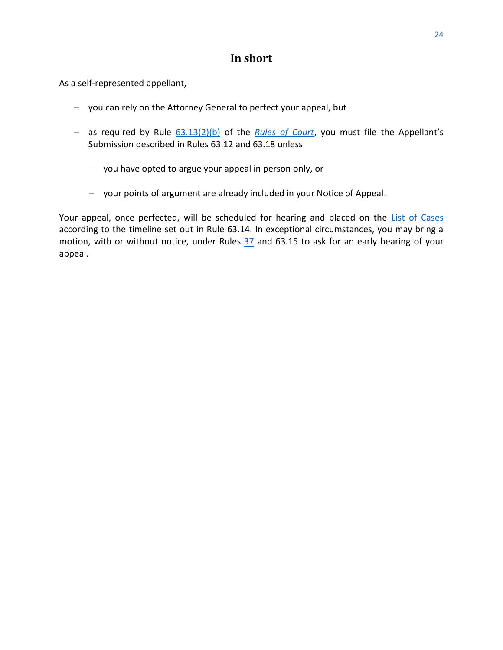## **In short**

As a self-represented appellant,

- − you can rely on the Attorney General to perfect your appeal, but
- − as required by Rule [63.13\(2\)\(b\)](http://laws.gnb.ca/en/ShowPdf/cr/Rule-63.pdf) of the *[Rules of Court](https://www2.gnb.ca/content/dam/gnb/Departments/ag-pg/PDF/en/rule/RULES.pdf)*, you must file the Appellant's Submission described in Rules [63.12](http://laws.gnb.ca/en/ShowPdf/cr/Rule-63.pdf) and 63.18 unless
	- − you have opted to argue your appeal in person only, or
	- − your points of argument are already included in your Notice of Appeal.

Your appeal, once perfected, will be scheduled for hearing and placed on the [List of Cases](https://www.courtsnb-coursnb.ca/content/cour/en/appeal/content/cases.html) according to the timeline set out in Rule 63.14. In exceptional circumstances, you may bring a motion, with or without notice, under Rules [37](https://laws.gnb.ca/en/ShowPdf/cr/Rule-37.pdf) and 63.15 to ask for an early hearing of your appeal.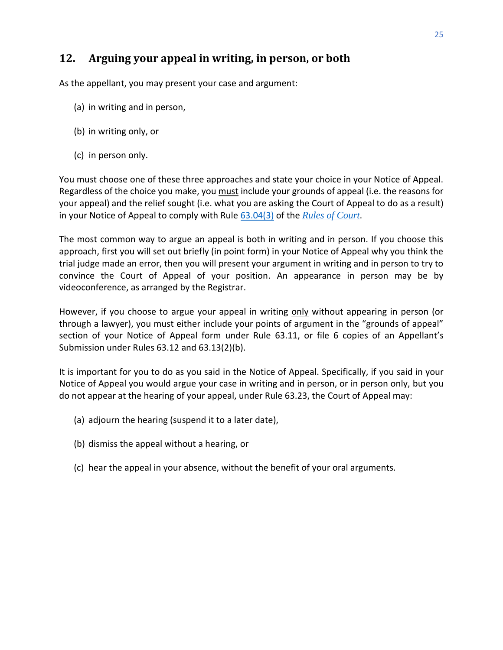# <span id="page-27-0"></span>**12. Arguing your appeal in writing, in person, or both**

As the appellant, you may present your case and argument:

- (a) in writing and in person,
- (b) in writing only, or
- (c) in person only.

You must choose one of these three approaches and state your choice in your Notice of Appeal. Regardless of the choice you make, you must include your grounds of appeal (i.e. the reasons for your appeal) and the relief sought (i.e. what you are asking the Court of Appeal to do as a result) in your Notice of Appeal to comply with Rule [63.04\(3\)](https://laws.gnb.ca/en/ShowPdf/cr/Rule-63.pdf) of the *[Rules of Court](https://www2.gnb.ca/content/dam/gnb/Departments/ag-pg/PDF/en/rule/RULES.pdf)*.

The most common way to argue an appeal is both in writing and in person. If you choose this approach, first you will set out briefly (in point form) in your Notice of Appeal why you think the trial judge made an error, then you will present your argument in writing and in person to try to convince the Court of Appeal of your position. An appearance in person may be by videoconference, as arranged by the Registrar.

However, if you choose to argue your appeal in writing only without appearing in person (or through a lawyer), you must either include your points of argument in the "grounds of appeal" section of your Notice of Appeal form under Rule 63.11, or file 6 copies of an Appellant's Submission under Rules 63.12 and 63.13(2)(b).

It is important for you to do as you said in the Notice of Appeal. Specifically, if you said in your Notice of Appeal you would argue your case in writing and in person, or in person only, but you do not appear at the hearing of your appeal, under Rule 63.23, the Court of Appeal may:

- (a) adjourn the hearing (suspend it to a later date),
- (b) dismiss the appeal without a hearing, or
- (c) hear the appeal in your absence, without the benefit of your oral arguments.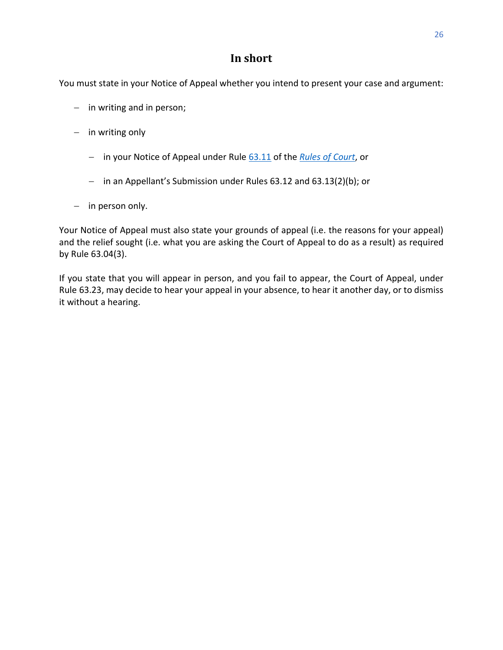## **In short**

<span id="page-28-0"></span>You must state in your Notice of Appeal whether you intend to present your case and argument:

- − in writing and in person;
- − in writing only
	- − in your Notice of Appeal under Rule [63.11](http://laws.gnb.ca/en/ShowPdf/cr/Rule-63.pdf) of the *[Rules of Court](https://www2.gnb.ca/content/dam/gnb/Departments/ag-pg/PDF/en/rule/RULES.pdf)*, or
	- − in an Appellant's Submission under Rules 63.12 and 63.13(2)(b); or
- − in person only.

Your Notice of Appeal must also state your grounds of appeal (i.e. the reasons for your appeal) and the relief sought (i.e. what you are asking the Court of Appeal to do as a result) as required by Rule 63.04(3).

If you state that you will appear in person, and you fail to appear, the Court of Appeal, under Rule 63.23, may decide to hear your appeal in your absence, to hear it another day, or to dismiss it without a hearing.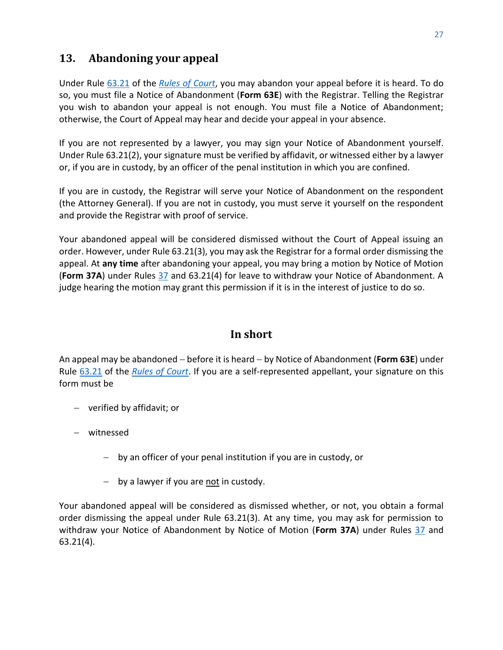# <span id="page-29-0"></span>**13. Abandoning your appeal**

Under Rule [63.21](http://laws.gnb.ca/en/ShowPdf/cr/Rule-63.pdf) of the *[Rules of Court](https://www2.gnb.ca/content/dam/gnb/Departments/ag-pg/PDF/en/rule/RULES.pdf)*, you may abandon your appeal before it is heard. To do so, you must file a Notice of Abandonment (**Form 63E**) with the Registrar. Telling the Registrar you wish to abandon your appeal is not enough. You must file a Notice of Abandonment; otherwise, the Court of Appeal may hear and decide your appeal in your absence.

If you are not represented by a lawyer, you may sign your Notice of Abandonment yourself. Under Rule 63.21(2), your signature must be verified by affidavit, or witnessed either by a lawyer or, if you are in custody, by an officer of the penal institution in which you are confined.

If you are in custody, the Registrar will serve your Notice of Abandonment on the respondent (the Attorney General). If you are not in custody, you must serve it yourself on the respondent and provide the Registrar with proof of service.

Your abandoned appeal will be considered dismissed without the Court of Appeal issuing an order. However, under Rule 63.21(3), you may ask the Registrar for a formal order dismissing the appeal. At **any time** after abandoning your appeal, you may bring a motion by Notice of Motion (**Form 37A**) under Rules [37](http://laws.gnb.ca/en/ShowPdf/cr/Rule-37.pdf) and 63.21(4) for leave to withdraw your Notice of Abandonment. A judge hearing the motion may grant this permission if it is in the interest of justice to do so.

## **In short**

<span id="page-29-1"></span>An appeal may be abandoned − before it is heard − by Notice of Abandonment (**Form 63E**) under Rule [63.21](http://laws.gnb.ca/en/ShowPdf/cr/Rule-63.pdf) of the *[Rules of Court](https://www2.gnb.ca/content/dam/gnb/Departments/ag-pg/PDF/en/rule/RULES.pdf)*. If you are a self-represented appellant, your signature on this form must be

- − verified by affidavit; or
- − witnessed
	- − by an officer of your penal institution if you are in custody, or
	- − by a lawyer if you are not in custody.

Your abandoned appeal will be considered as dismissed whether, or not, you obtain a formal order dismissing the appeal under Rule 63.21(3). At any time, you may ask for permission to withdraw your Notice of Abandonment by Notice of Motion (**Form 37A**) under Rules [37](http://laws.gnb.ca/en/ShowPdf/cr/Rule-37.pdf) and 63.21(4).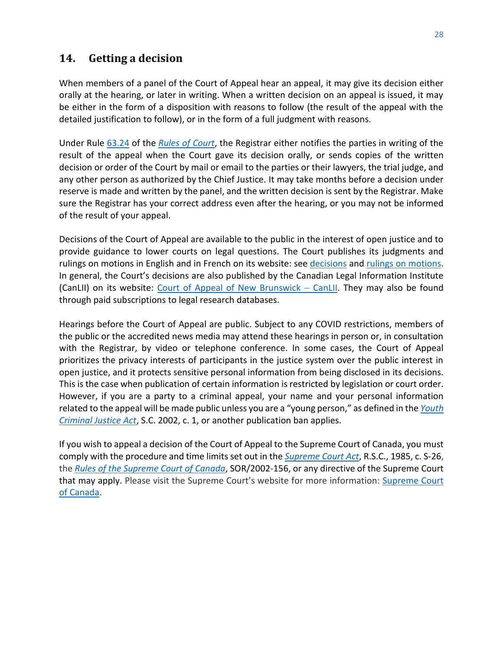## <span id="page-30-0"></span>**14. Getting a decision**

When members of a panel of the Court of Appeal hear an appeal, it may give its decision either orally at the hearing, or later in writing. When a written decision on an appeal is issued, it may be either in the form of a disposition with reasons to follow (the result of the appeal with the detailed justification to follow), or in the form of a full judgment with reasons.

Under Rule [63.24](http://laws.gnb.ca/en/ShowPdf/cr/Rule-63.pdf) of the *[Rules of Court](https://www2.gnb.ca/content/dam/gnb/Departments/ag-pg/PDF/en/rule/RULES.pdf)*, the Registrar either notifies the parties in writing of the result of the appeal when the Court gave its decision orally, or sends copies of the written decision or order of the Court by mail or email to the parties or their lawyers, the trial judge, and any other person as authorized by the Chief Justice. It may take months before a decision under reserve is made and written by the panel, and the written decision is sent by the Registrar. Make sure the Registrar has your correct address even after the hearing, or you may not be informed of the result of your appeal.

Decisions of the Court of Appeal are available to the public in the interest of open justice and to provide guidance to lower courts on legal questions. The Court publishes its judgments and rulings on motions in English and in French on its website: see [decisions](https://www.courtsnb-coursnb.ca/content/cour/en/appeal/content/decisions.html) and [rulings on motions.](https://www.courtsnb-coursnb.ca/content/cour/en/appeal/content/rom.html) In general, the Court's decisions are also published by the Canadian Legal Information Institute (CanLII) on its website: [Court](https://www.canlii.org/en/nb/nbca/) [of Appeal of New Brunswick](https://www.canlii.org/en/nb/nbca/) – CanLII. They may also be found through paid subscriptions to legal research databases.

Hearings before the Court of Appeal are public. Subject to any COVID restrictions, members of the public or the accredited news media may attend these hearings in person or, in consultation with the Registrar, by video or telephone conference. In some cases, the Court of Appeal prioritizes the privacy interests of participants in the justice system over the public interest in open justice, and it protects sensitive personal information from being disclosed in its decisions. This is the case when publication of certain information is restricted by legislation or court order. However, if you are a party to a criminal appeal, your name and your personal information related to the appeal will be made public unless you are a "young person," as defined in the *[Youth](https://www.laws-lois.justice.gc.ca/PDF/Y-1.5.pdf)  [Criminal Justice Act](https://www.laws-lois.justice.gc.ca/PDF/Y-1.5.pdf)*, S.C. 2002, c. 1, or another publication ban applies.

<span id="page-30-1"></span>If you wish to appeal a decision of the Court of Appeal to the Supreme Court of Canada, you must comply with the procedure and time limits set out in the *[Supreme Court Act](https://laws-lois.justice.gc.ca/PDF/S-26.pdf)*, R.S.C., 1985, c. S-26, the *[Rules of the Supreme Court of Canada](https://laws-lois.justice.gc.ca/PDF/SOR-2002-156.pdf)*, SOR/2002-156, or any directive of the Supreme Court that may apply. Please visit the Supreme Court's website for more information: [Supreme Court](https://www.scc-csc.ca/home-accueil/index-eng.aspx)  [of Canada.](https://www.scc-csc.ca/home-accueil/index-eng.aspx)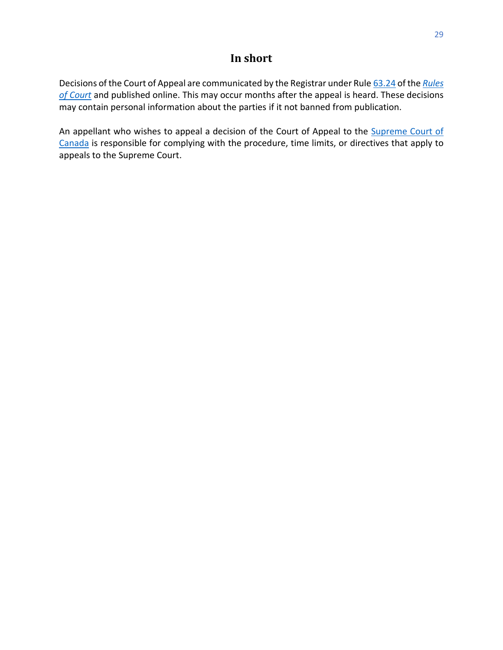## **In short**

Decisions of the Court of Appeal are communicated by the Registrar under Rul[e 63.24](http://laws.gnb.ca/en/ShowPdf/cr/Rule-63.pdf) of the *[Rules](https://www2.gnb.ca/content/dam/gnb/Departments/ag-pg/PDF/en/rule/RULES.pdf)  [of Court](https://www2.gnb.ca/content/dam/gnb/Departments/ag-pg/PDF/en/rule/RULES.pdf)* and published online. This may occur months after the appeal is heard. These decisions may contain personal information about the parties if it not banned from publication.

An appellant who wishes to appeal a decision of the Court of Appeal to the [Supreme Court of](https://www.scc-csc.ca/home-accueil/index-eng.aspx)  [Canada](https://www.scc-csc.ca/home-accueil/index-eng.aspx) is responsible for complying with the procedure, time limits, or directives that apply to appeals to the Supreme Court.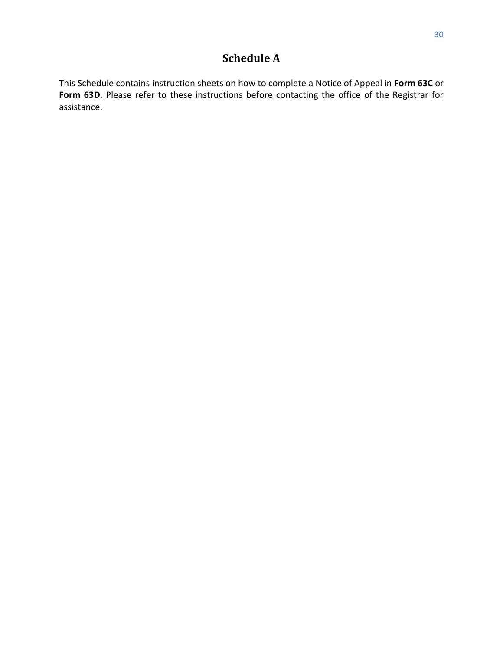# **Schedule A**

<span id="page-32-0"></span>This Schedule contains instruction sheets on how to complete a Notice of Appeal in **Form 63C** or Form 63D. Please refer to these instructions before contacting the office of the Registrar for assistance.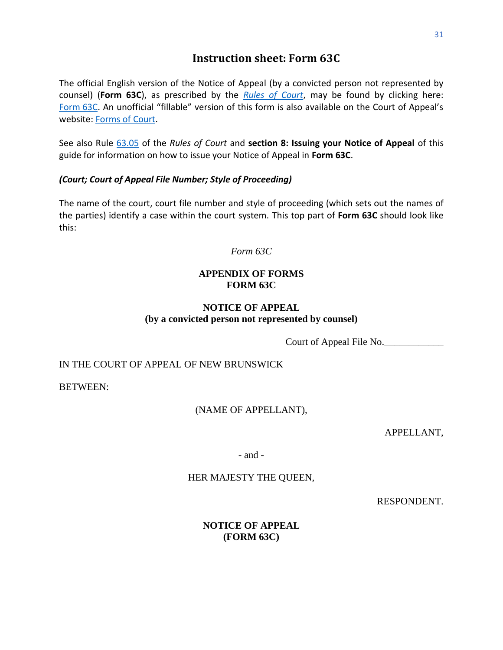## **Instruction sheet: [Form 63C](https://www.gnb.ca/0062/regs/Form/Form-63c-e.pdf?_ga=2.6712949.618679991.1635945296-1940841926.1630326153)**

<span id="page-33-0"></span>The official English version of the Notice of Appeal (by a convicted person not represented by counsel) (**Form 63C**), as prescribed by the *[Rules of Court](https://www2.gnb.ca/content/dam/gnb/Departments/ag-pg/PDF/Forms/Forms.pdf)*, may be found by clicking here: [Form](https://www2.gnb.ca/content/dam/gnb/Departments/ag-pg/PDF/Forms/FORM-63c-e.pdf) 63C. An unofficial "fillable" version of this form is also available on the Court of Appeal's website: [Forms of Court.](https://www.courtsnb-coursnb.ca/content/cour/en/appeal/content/forms-of-court.html)

See also Rule [63.05](https://laws.gnb.ca/en/ShowPdf/cr/Rule-63.pdf) of the *Rules of Court* and **[section 8: Issuing your Notice of Appeal](#page-20-0)** of this guide for information on how to issue your Notice of Appeal in **Form 63C**.

#### *(Court; Court of Appeal File Number; Style of Proceeding)*

The name of the court, court file number and style of proceeding (which sets out the names of the parties) identify a case within the court system. This top part of **Form 63C** should look like this:

*Form 63C*

#### **APPENDIX OF FORMS FORM 63C**

#### **NOTICE OF APPEAL (by a convicted person not represented by counsel)**

Court of Appeal File No.

#### IN THE COURT OF APPEAL OF NEW BRUNSWICK

BETWEEN:

#### (NAME OF APPELLANT),

APPELLANT,

- and -

#### HER MAJESTY THE QUEEN,

RESPONDENT.

#### **NOTICE OF APPEAL (FORM 63C)**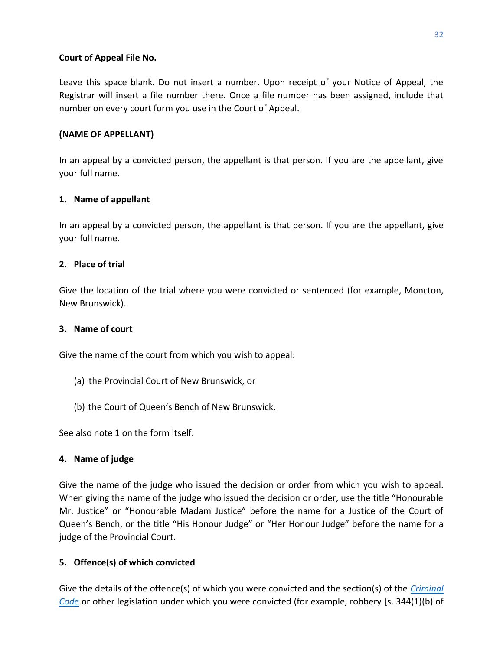#### **Court of Appeal File No.**

Leave this space blank. Do not insert a number. Upon receipt of your Notice of Appeal, the Registrar will insert a file number there. Once a file number has been assigned, include that number on every court form you use in the Court of Appeal.

#### **(NAME OF APPELLANT)**

In an appeal by a convicted person, the appellant is that person. If you are the appellant, give your full name.

#### **1. Name of appellant**

In an appeal by a convicted person, the appellant is that person. If you are the appellant, give your full name.

#### **2. Place of trial**

Give the location of the trial where you were convicted or sentenced (for example, Moncton, New Brunswick).

#### **3. Name of court**

Give the name of the court from which you wish to appeal:

- (a) the Provincial Court of New Brunswick, or
- (b) the Court of Queen's Bench of New Brunswick.

See also note 1 on the form itself.

#### **4. Name of judge**

Give the name of the judge who issued the decision or order from which you wish to appeal. When giving the name of the judge who issued the decision or order, use the title "Honourable Mr. Justice" or "Honourable Madam Justice" before the name for a Justice of the Court of Queen's Bench, or the title "His Honour Judge" or "Her Honour Judge" before the name for a judge of the Provincial Court.

#### **5. Offence(s) of which convicted**

Give the details of the offence(s) of which you were convicted and the section(s) of the *[Criminal](https://laws-lois.justice.gc.ca/eng/acts/C-46/)  [Code](https://laws-lois.justice.gc.ca/eng/acts/C-46/)* or other legislation under which you were convicted (for example, robbery [s. 344(1)(b) of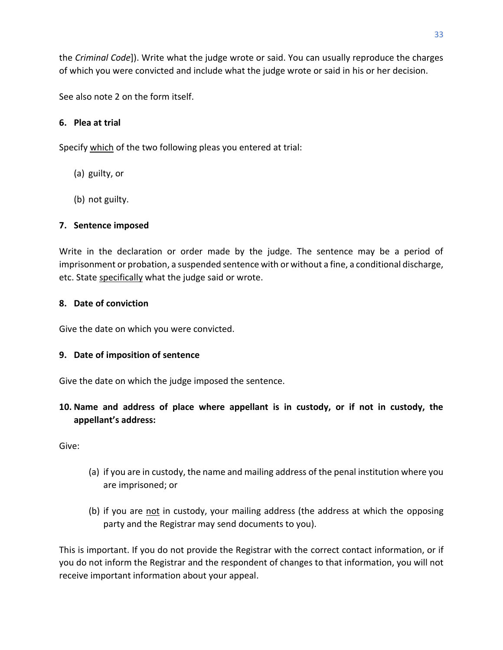the *Criminal Code*]). Write what the judge wrote or said. You can usually reproduce the charges of which you were convicted and include what the judge wrote or said in his or her decision.

See also note 2 on the form itself.

#### **6. Plea at trial**

Specify which of the two following pleas you entered at trial:

- (a) guilty, or
- (b) not guilty.

#### **7. Sentence imposed**

Write in the declaration or order made by the judge. The sentence may be a period of imprisonment or probation, a suspended sentence with or without a fine, a conditional discharge, etc. State specifically what the judge said or wrote.

#### **8. Date of conviction**

Give the date on which you were convicted.

#### **9. Date of imposition of sentence**

Give the date on which the judge imposed the sentence.

**10. Name and address of place where appellant is in custody, or if not in custody, the appellant's address:**

Give:

- (a) if you are in custody, the name and mailing address of the penal institution where you are imprisoned; or
- (b) if you are not in custody, your mailing address (the address at which the opposing party and the Registrar may send documents to you).

This is important. If you do not provide the Registrar with the correct contact information, or if you do not inform the Registrar and the respondent of changes to that information, you will not receive important information about your appeal.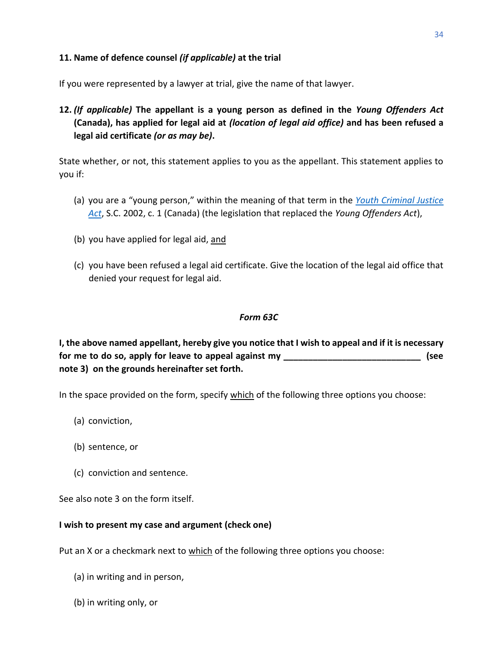#### **11. Name of defence counsel** *(if applicable)* **at the trial**

If you were represented by a lawyer at trial, give the name of that lawyer.

**12.** *(If applicable)* **The appellant is a young person as defined in the** *Young Offenders Act* **(Canada), has applied for legal aid at** *(location of legal aid office)* **and has been refused a legal aid certificate** *(or as may be)***.**

State whether, or not, this statement applies to you as the appellant. This statement applies to you if:

- (a) you are a "young person," within the meaning of that term in the *[Youth Criminal Justice](https://laws-lois.justice.gc.ca/eng/acts/Y-1.5/index.html)  [Act](https://laws-lois.justice.gc.ca/eng/acts/Y-1.5/index.html)*, S.C. 2002, c. 1 (Canada) (the legislation that replaced the *Young Offenders Act*),
- (b) you have applied for legal aid, and
- (c) you have been refused a legal aid certificate. Give the location of the legal aid office that denied your request for legal aid.

#### *Form 63C*

**I, the above named appellant, hereby give you notice that I wish to appeal and if it is necessary for me to do so, apply for leave to appeal against my \_\_\_\_\_\_\_\_\_\_\_\_\_\_\_\_\_\_\_\_\_\_\_\_\_\_\_\_ (see note 3) on the grounds hereinafter set forth.** 

In the space provided on the form, specify which of the following three options you choose:

- (a) conviction,
- (b) sentence, or
- (c) conviction and sentence.

See also note 3 on the form itself.

#### **I wish to present my case and argument (check one)**

Put an X or a checkmark next to which of the following three options you choose:

- (a) in writing and in person,
- (b) in writing only, or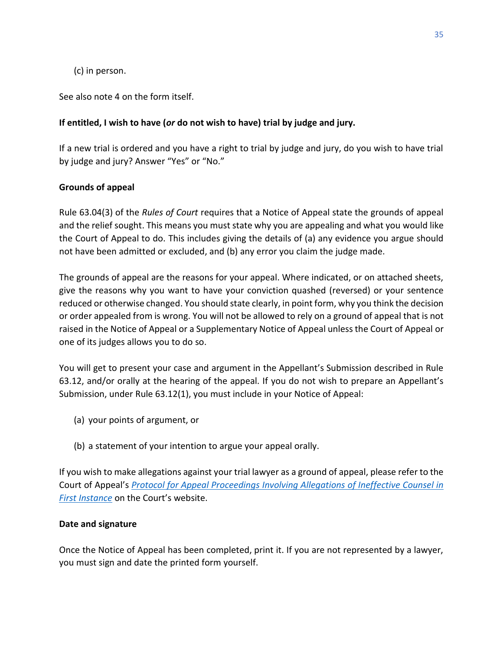(c) in person.

See also note 4 on the form itself.

#### **If entitled, I wish to have (***or* **do not wish to have) trial by judge and jury.**

If a new trial is ordered and you have a right to trial by judge and jury, do you wish to have trial by judge and jury? Answer "Yes" or "No."

#### **Grounds of appeal**

Rule [63.04\(3\)](http://laws.gnb.ca/en/ShowPdf/cr/Rule-63.pdf) of the *Rules of Court* requires that a Notice of Appeal state the grounds of appeal and the relief sought. This means you must state why you are appealing and what you would like the Court of Appeal to do. This includes giving the details of (a) any evidence you argue should not have been admitted or excluded, and (b) any error you claim the judge made.

The grounds of appeal are the reasons for your appeal. Where indicated, or on attached sheets, give the reasons why you want to have your conviction quashed (reversed) or your sentence reduced or otherwise changed. You should state clearly, in point form, why you think the decision or order appealed from is wrong. You will not be allowed to rely on a ground of appeal that is not raised in the Notice of Appeal or a Supplementary Notice of Appeal unless the Court of Appeal or one of its judges allows you to do so.

You will get to present your case and argument in the Appellant's Submission described in Rule 63.12, and/or orally at the hearing of the appeal. If you do not wish to prepare an Appellant's Submission, under Rule 63.12(1), you must include in your Notice of Appeal:

- (a) your points of argument, or
- (b) a statement of your intention to argue your appeal orally.

If you wish to make allegations against your trial lawyer as a ground of appeal, please refer to the Court of Appeal's *[Protocol for Appeal Proceedings Involving Allegations of Ineffective Counsel in](https://www.courtsnb-coursnb.ca/content/dam/courts/pdf/appeal-appel/protocols-protocole/001-Protocol.pdf)  [First Instance](https://www.courtsnb-coursnb.ca/content/dam/courts/pdf/appeal-appel/protocols-protocole/001-Protocol.pdf)* on the Court's website.

#### **Date and signature**

Once the Notice of Appeal has been completed, print it. If you are not represented by a lawyer, you must sign and date the printed form yourself.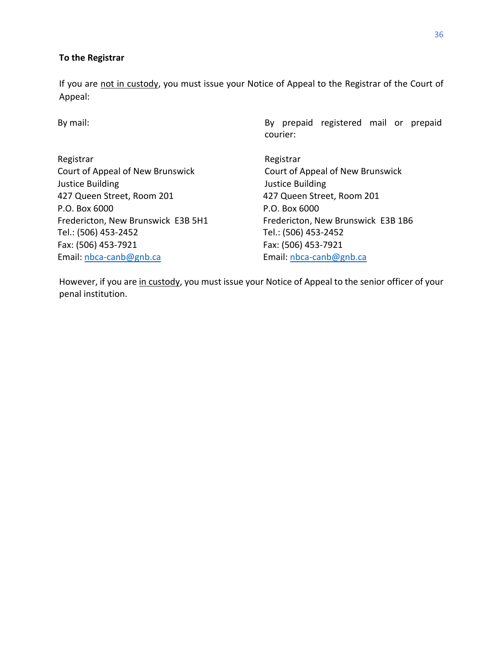#### **To the Registrar**

If you are not in custody, you must issue your Notice of Appeal to the Registrar of the Court of Appeal:

Registrar **Registrar** Registrar Court of Appeal of New Brunswick Court of Appeal of New Brunswick Justice Building Justice Building 427 Queen Street, Room 201 427 Queen Street, Room 201 P.O. Box 6000 P.O. Box 6000 Tel.: (506) 453-2452 Tel.: (506) 453-2452 Fax: (506) 453-7921 Fax: (506) 453-7921 Email[: nbca-canb@gnb.ca](mailto:nbca-canb@gnb.ca) Email: [nbca-canb@gnb.ca](mailto:nbca-canb@gnb.ca)

By mail: By mail: By prepaid registered mail or prepaid courier:

Fredericton, New Brunswick E3B 5H1 Fredericton, New Brunswick E3B 1B6

However, if you are in custody, you must issue your Notice of Appeal to the senior officer of your penal institution.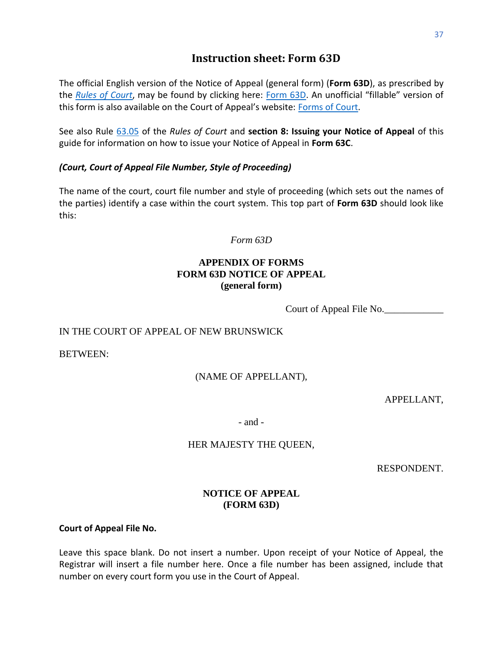## **Instruction sheet: [Form 63D](https://www2.gnb.ca/content/dam/gnb/Departments/ag-pg/PDF/Forms/FORM-63d-e.pdf)**

<span id="page-39-0"></span>The official English version of the Notice of Appeal (general form) (**Form 63D**), as prescribed by the *[Rules of Court](https://www2.gnb.ca/content/dam/gnb/Departments/ag-pg/PDF/Forms/Forms.pdf)*, may be found by clicking here: [Form 63D.](https://www2.gnb.ca/content/dam/gnb/Departments/ag-pg/PDF/Forms/FORM-63d-e.pdf) An unofficial "fillable" version of this form is also available on the Court of Appeal's website: [Forms of Court.](https://www.courtsnb-coursnb.ca/content/cour/en/appeal/content/forms-of-court.html)

See also Rule [63.05](https://laws.gnb.ca/en/ShowPdf/cr/Rule-63.pdf) of the *Rules of Court* and **[section 8: Issuing your Notice of Appeal](#page-20-0)** of this guide for information on how to issue your Notice of Appeal in **Form 63C**.

#### *(Court, Court of Appeal File Number, Style of Proceeding)*

The name of the court, court file number and style of proceeding (which sets out the names of the parties) identify a case within the court system. This top part of **Form 63D** should look like this:

*Form 63D*

#### **APPENDIX OF FORMS FORM 63D NOTICE OF APPEAL (general form)**

Court of Appeal File No.

#### IN THE COURT OF APPEAL OF NEW BRUNSWICK

BETWEEN:

#### (NAME OF APPELLANT),

APPELLANT,

- and -

#### HER MAJESTY THE QUEEN,

RESPONDENT.

#### **NOTICE OF APPEAL (FORM 63D)**

**Court of Appeal File No.** 

Leave this space blank. Do not insert a number. Upon receipt of your Notice of Appeal, the Registrar will insert a file number here. Once a file number has been assigned, include that number on every court form you use in the Court of Appeal.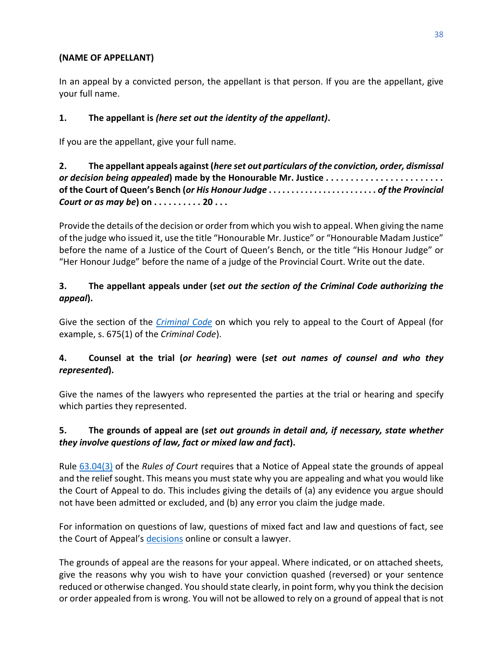#### **(NAME OF APPELLANT)**

In an appeal by a convicted person, the appellant is that person. If you are the appellant, give your full name.

#### **1. The appellant is** *(here set out the identity of the appellant)***.**

If you are the appellant, give your full name.

#### **2. The appellant appeals against (***here set out particulars of the conviction, order, dismissal or decision being appealed***) made by the Honourable Mr. Justice . . . . . . . . . . . . . . . . . . . . . . . . of the Court of Queen's Bench (***or His Honour Judge* **. . . . . . . . . . . . . . . . . . . . . . . .** *of the Provincial Court or as may be***) on . . . . . . . . . . 20 . . .**

Provide the details of the decision or order from which you wish to appeal. When giving the name of the judge who issued it, use the title "Honourable Mr. Justice" or "Honourable Madam Justice" before the name of a Justice of the Court of Queen's Bench, or the title "His Honour Judge" or "Her Honour Judge" before the name of a judge of the Provincial Court. Write out the date.

#### **3. The appellant appeals under (***set out the section of the Criminal Code authorizing the appeal***).**

Give the section of the *[Criminal Code](https://laws-lois.justice.gc.ca/eng/acts/C-46/)* on which you rely to appeal to the Court of Appeal (for example, s. 675(1) of the *Criminal Code*).

#### **4. Counsel at the trial (***or hearing***) were (***set out names of counsel and who they represented***).**

Give the names of the lawyers who represented the parties at the trial or hearing and specify which parties they represented.

#### **5. The grounds of appeal are (***set out grounds in detail and, if necessary, state whether they involve questions of law, fact or mixed law and fact***).**

Rule [63.04\(3\)](http://laws.gnb.ca/en/ShowPdf/cr/Rule-63.pdf) of the *Rules of Court* requires that a Notice of Appeal state the grounds of appeal and the relief sought. This means you must state why you are appealing and what you would like the Court of Appeal to do. This includes giving the details of (a) any evidence you argue should not have been admitted or excluded, and (b) any error you claim the judge made.

For information on questions of law, questions of mixed fact and law and questions of fact, see the Court of Appeal's [decisions](https://www.canlii.org/en/nb/nbca/) online or consult a lawyer.

The grounds of appeal are the reasons for your appeal. Where indicated, or on attached sheets, give the reasons why you wish to have your conviction quashed (reversed) or your sentence reduced or otherwise changed. You should state clearly, in point form, why you think the decision or order appealed from is wrong. You will not be allowed to rely on a ground of appeal that is not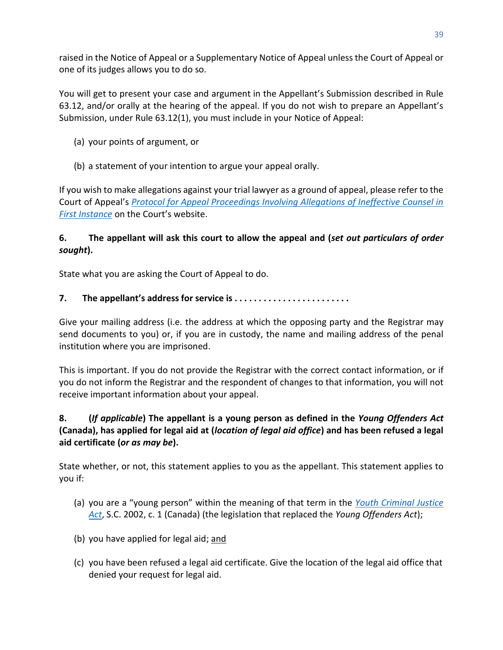raised in the Notice of Appeal or a Supplementary Notice of Appeal unless the Court of Appeal or one of its judges allows you to do so.

You will get to present your case and argument in the Appellant's Submission described in Rule 63.12, and/or orally at the hearing of the appeal. If you do not wish to prepare an Appellant's Submission, under Rule 63.12(1), you must include in your Notice of Appeal:

- (a) your points of argument, or
- (b) a statement of your intention to argue your appeal orally.

If you wish to make allegations against your trial lawyer as a ground of appeal, please refer to the Court of Appeal's *[Protocol for Appeal Proceedings Involving Allegations of Ineffective Counsel in](https://www.courtsnb-coursnb.ca/content/dam/courts/pdf/appeal-appel/protocols-protocole/001-Protocol.pdf)  [First Instance](https://www.courtsnb-coursnb.ca/content/dam/courts/pdf/appeal-appel/protocols-protocole/001-Protocol.pdf)* on the Court's website.

#### **6. The appellant will ask this court to allow the appeal and (***set out particulars of order sought***).**

State what you are asking the Court of Appeal to do.

#### **7. The appellant's address for service is . . . . . . . . . . . . . . . . . . . . . . . .**

Give your mailing address (i.e. the address at which the opposing party and the Registrar may send documents to you) or, if you are in custody, the name and mailing address of the penal institution where you are imprisoned.

This is important. If you do not provide the Registrar with the correct contact information, or if you do not inform the Registrar and the respondent of changes to that information, you will not receive important information about your appeal.

#### **8. (***If applicable***) The appellant is a young person as defined in the** *Young Offenders Act* **(Canada), has applied for legal aid at (***location of legal aid office***) and has been refused a legal aid certificate (***or as may be***).**

State whether, or not, this statement applies to you as the appellant. This statement applies to you if:

- (a) you are a "young person" within the meaning of that term in the *[Youth Criminal Justice](https://laws-lois.justice.gc.ca/eng/acts/Y-1.5/index.html)  [Act](https://laws-lois.justice.gc.ca/eng/acts/Y-1.5/index.html)*, S.C. 2002, c. 1 (Canada) (the legislation that replaced the *Young Offenders Act*);
- (b) you have applied for legal aid; and
- (c) you have been refused a legal aid certificate. Give the location of the legal aid office that denied your request for legal aid.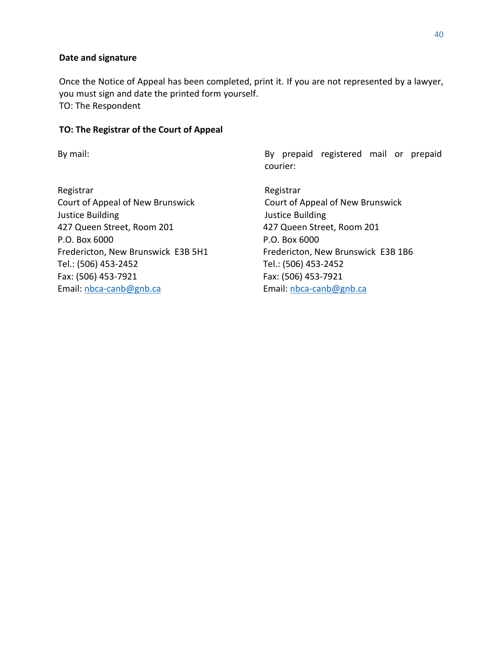#### **Date and signature**

Once the Notice of Appeal has been completed, print it. If you are not represented by a lawyer, you must sign and date the printed form yourself. TO: The Respondent

#### **TO: The Registrar of the Court of Appeal**

Registrar **Registrar** Registrar Court of Appeal of New Brunswick Court of Appeal of New Brunswick Justice Building Justice Building 427 Queen Street, Room 201 427 Queen Street, Room 201 P.O. Box 6000 P.O. Box 6000 Fredericton, New Brunswick E3B 5H1 Fredericton, New Brunswick E3B 1B6 Tel.: (506) 453-2452 Tel.: (506) 453-2452 Fax: (506) 453-7921 Fax: (506) 453-7921 Email[: nbca-canb@gnb.ca](mailto:nbca-canb@gnb.ca) Email: [nbca-canb@gnb.ca](mailto:nbca-canb@gnb.ca)

By mail: By mail: By prepaid registered mail or prepaid courier: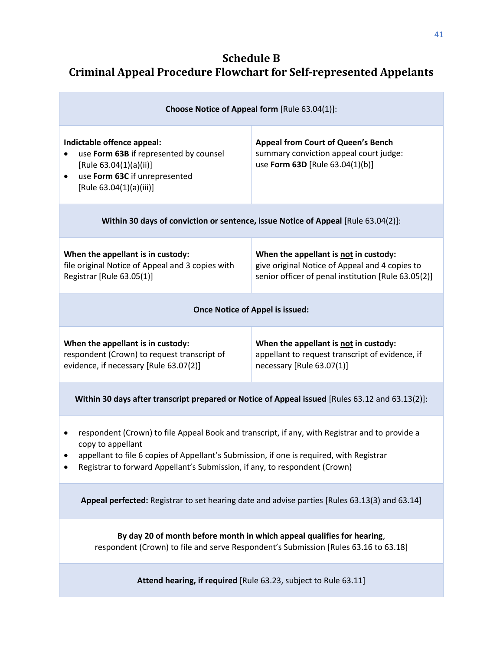# <span id="page-43-0"></span>**Schedule B Criminal Appeal Procedure Flowchart for Self-represented Appelants**

| Choose Notice of Appeal form [Rule 63.04(1)]:                                                                                                                                                                                                                                                      |                                                                                                                        |  |  |  |
|----------------------------------------------------------------------------------------------------------------------------------------------------------------------------------------------------------------------------------------------------------------------------------------------------|------------------------------------------------------------------------------------------------------------------------|--|--|--|
| Indictable offence appeal:<br>use Form 63B if represented by counsel<br>[Rule 63.04(1)(a)(ii)]<br>use Form 63C if unrepresented<br>$\bullet$<br>[Rule 63.04(1)(a)(iii)]                                                                                                                            | <b>Appeal from Court of Queen's Bench</b><br>summary conviction appeal court judge:<br>use Form 63D [Rule 63.04(1)(b)] |  |  |  |
| Within 30 days of conviction or sentence, issue Notice of Appeal [Rule 63.04(2)]:                                                                                                                                                                                                                  |                                                                                                                        |  |  |  |
| When the appellant is in custody:<br>When the appellant is not in custody:<br>file original Notice of Appeal and 3 copies with<br>give original Notice of Appeal and 4 copies to<br>Registrar [Rule 63.05(1)]<br>senior officer of penal institution [Rule 63.05(2)]                               |                                                                                                                        |  |  |  |
| <b>Once Notice of Appel is issued:</b>                                                                                                                                                                                                                                                             |                                                                                                                        |  |  |  |
| When the appellant is in custody:<br>When the appellant is not in custody:<br>respondent (Crown) to request transcript of<br>appellant to request transcript of evidence, if<br>evidence, if necessary [Rule 63.07(2)]<br>necessary [Rule 63.07(1)]                                                |                                                                                                                        |  |  |  |
| Within 30 days after transcript prepared or Notice of Appeal issued [Rules 63.12 and 63.13(2)]:                                                                                                                                                                                                    |                                                                                                                        |  |  |  |
| respondent (Crown) to file Appeal Book and transcript, if any, with Registrar and to provide a<br>٠<br>copy to appellant<br>appellant to file 6 copies of Appellant's Submission, if one is required, with Registrar<br>Registrar to forward Appellant's Submission, if any, to respondent (Crown) |                                                                                                                        |  |  |  |
| Appeal perfected: Registrar to set hearing date and advise parties [Rules 63.13(3) and 63.14]                                                                                                                                                                                                      |                                                                                                                        |  |  |  |
| By day 20 of month before month in which appeal qualifies for hearing,<br>respondent (Crown) to file and serve Respondent's Submission [Rules 63.16 to 63.18]                                                                                                                                      |                                                                                                                        |  |  |  |
| Attend hearing, if required [Rule 63.23, subject to Rule 63.11]                                                                                                                                                                                                                                    |                                                                                                                        |  |  |  |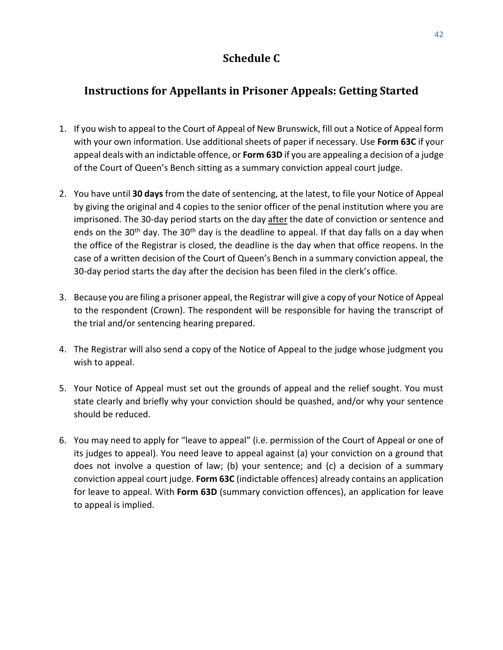# **Schedule C**

# <span id="page-44-0"></span>**Instructions for Appellants in Prisoner Appeals: Getting Started**

- 1. If you wish to appeal to the Court of Appeal of New Brunswick, fill out a Notice of Appeal form with your own information. Use additional sheets of paper if necessary. Use **Form 63C** if your appeal deals with an indictable offence, or **Form 63D** if you are appealing a decision of a judge of the Court of Queen's Bench sitting as a summary conviction appeal court judge.
- 2. You have until **30 days** from the date of sentencing, at the latest, to file your Notice of Appeal by giving the original and 4 copies to the senior officer of the penal institution where you are imprisoned. The 30-day period starts on the day after the date of conviction or sentence and ends on the 30<sup>th</sup> day. The 30<sup>th</sup> day is the deadline to appeal. If that day falls on a day when the office of the Registrar is closed, the deadline is the day when that office reopens. In the case of a written decision of the Court of Queen's Bench in a summary conviction appeal, the 30-day period starts the day after the decision has been filed in the clerk's office.
- 3. Because you are filing a prisoner appeal, the Registrar will give a copy of your Notice of Appeal to the respondent (Crown). The respondent will be responsible for having the transcript of the trial and/or sentencing hearing prepared.
- 4. The Registrar will also send a copy of the Notice of Appeal to the judge whose judgment you wish to appeal.
- 5. Your Notice of Appeal must set out the grounds of appeal and the relief sought. You must state clearly and briefly why your conviction should be quashed, and/or why your sentence should be reduced.
- 6. You may need to apply for "leave to appeal" (i.e. permission of the Court of Appeal or one of its judges to appeal). You need leave to appeal against (a) your conviction on a ground that does not involve a question of law; (b) your sentence; and (c) a decision of a summary conviction appeal court judge. **Form 63C** (indictable offences) already contains an application for leave to appeal. With **Form 63D** (summary conviction offences), an application for leave to appeal is implied.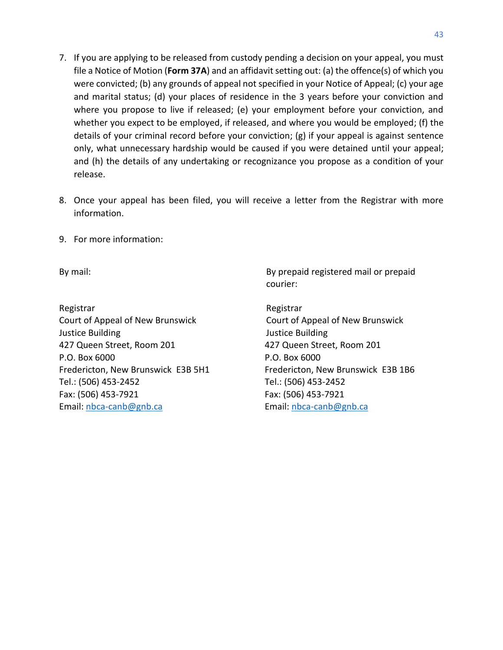- 7. If you are applying to be released from custody pending a decision on your appeal, you must file a Notice of Motion (**Form 37A**) and an affidavit setting out: (a) the offence(s) of which you were convicted; (b) any grounds of appeal not specified in your Notice of Appeal; (c) your age and marital status; (d) your places of residence in the 3 years before your conviction and where you propose to live if released; (e) your employment before your conviction, and whether you expect to be employed, if released, and where you would be employed; (f) the details of your criminal record before your conviction; (g) if your appeal is against sentence only, what unnecessary hardship would be caused if you were detained until your appeal; and (h) the details of any undertaking or recognizance you propose as a condition of your release.
- 8. Once your appeal has been filed, you will receive a letter from the Registrar with more information.
- 9. For more information:

Registrar Registrar Registrar Registrar Court of Appeal of New Brunswick Court of Appeal of New Brunswick Justice Building Justice Building 427 Queen Street, Room 201 427 Queen Street, Room 201 P.O. Box 6000 P.O. Box 6000 Fredericton, New Brunswick E3B 5H1 Fredericton, New Brunswick E3B 1B6 Tel.: (506) 453-2452 Tel.: (506) 453-2452 Fax: (506) 453-7921 Fax: (506) 453-7921 Email: [nbca-canb@gnb.ca](mailto:nbca-canb@gnb.ca) Email: [nbca-canb@gnb.ca](mailto:nbca-canb@gnb.ca)

By mail: By prepaid registered mail or prepaid courier: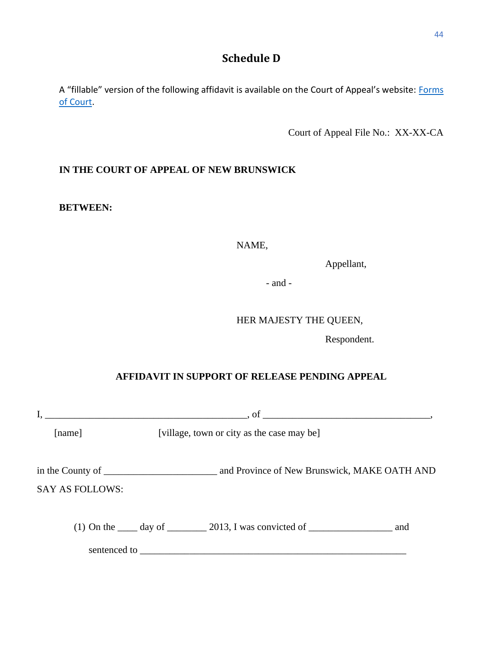# **Schedule D**

<span id="page-46-0"></span>A "fillable" version of the following affidavit is available on the Court of Appeal's website: Forms [of Court.](https://www.courtsnb-coursnb.ca/content/cour/en/appeal/content/forms-of-court.html)

Court of Appeal File No.: XX-XX-CA

#### **IN THE COURT OF APPEAL OF NEW BRUNSWICK**

#### **BETWEEN:**

NAME,

Appellant,

- and -

#### HER MAJESTY THE QUEEN,

Respondent.

#### **AFFIDAVIT IN SUPPORT OF RELEASE PENDING APPEAL**

|                        |                                            | $\sim$ , of $\sim$ . The contract of $\sim$ , or $\sim$ , $\sim$ , $\sim$ , $\sim$ , $\sim$ , $\sim$ , $\sim$ , $\sim$ , $\sim$ , $\sim$ , $\sim$ , $\sim$ , $\sim$ , $\sim$ , $\sim$ , $\sim$ , $\sim$ , $\sim$ , $\sim$ , $\sim$ , $\sim$ , $\sim$ , $\sim$ , $\sim$ , $\sim$ , $\sim$ |  |  |
|------------------------|--------------------------------------------|------------------------------------------------------------------------------------------------------------------------------------------------------------------------------------------------------------------------------------------------------------------------------------------|--|--|
| [name]                 | [village, town or city as the case may be] |                                                                                                                                                                                                                                                                                          |  |  |
| <b>SAY AS FOLLOWS:</b> |                                            |                                                                                                                                                                                                                                                                                          |  |  |
|                        |                                            | (1) On the $\_\_\_\_$ day of $\_\_\_\_$ 2013, I was convicted of $\_\_\_\_\_\_\_$ and                                                                                                                                                                                                    |  |  |
|                        |                                            |                                                                                                                                                                                                                                                                                          |  |  |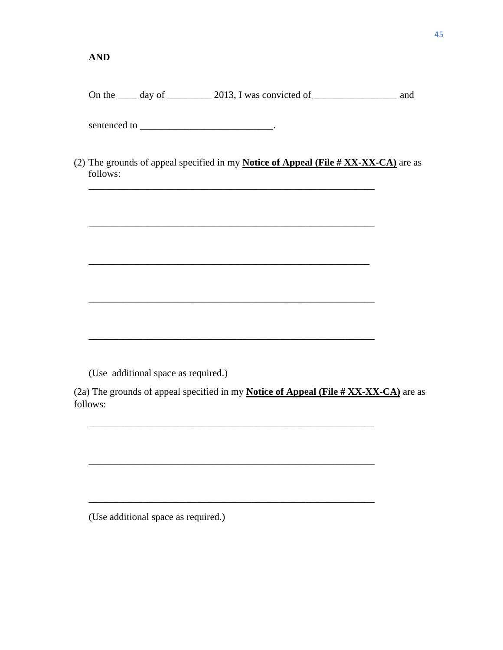On the  $\frac{1}{\sqrt{2}}$  day of  $\frac{2013}{\sqrt{2}}$ . I was convicted of  $\frac{1}{\sqrt{2}}$  and

sentenced to \_\_\_\_\_\_\_\_\_\_\_\_\_\_\_\_\_\_\_\_\_\_\_\_\_\_\_\_\_\_\_\_\_.

(2) The grounds of appeal specified in my **Notice of Appeal (File # XX-XX-CA)** are as follows:

\_\_\_\_\_\_\_\_\_\_\_\_\_\_\_\_\_\_\_\_\_\_\_\_\_\_\_\_\_\_\_\_\_\_\_\_\_\_\_\_\_\_\_\_\_\_\_\_\_\_\_\_\_\_\_\_\_\_

\_\_\_\_\_\_\_\_\_\_\_\_\_\_\_\_\_\_\_\_\_\_\_\_\_\_\_\_\_\_\_\_\_\_\_\_\_\_\_\_\_\_\_\_\_\_\_\_\_\_\_\_\_\_\_\_\_

\_\_\_\_\_\_\_\_\_\_\_\_\_\_\_\_\_\_\_\_\_\_\_\_\_\_\_\_\_\_\_\_\_\_\_\_\_\_\_\_\_\_\_\_\_\_\_\_\_\_\_\_\_\_\_\_\_\_

\_\_\_\_\_\_\_\_\_\_\_\_\_\_\_\_\_\_\_\_\_\_\_\_\_\_\_\_\_\_\_\_\_\_\_\_\_\_\_\_\_\_\_\_\_\_\_\_\_\_\_\_\_\_\_\_\_\_

\_\_\_\_\_\_\_\_\_\_\_\_\_\_\_\_\_\_\_\_\_\_\_\_\_\_\_\_\_\_\_\_\_\_\_\_\_\_\_\_\_\_\_\_\_\_\_\_\_\_\_\_\_\_\_\_\_\_

\_\_\_\_\_\_\_\_\_\_\_\_\_\_\_\_\_\_\_\_\_\_\_\_\_\_\_\_\_\_\_\_\_\_\_\_\_\_\_\_\_\_\_\_\_\_\_\_\_\_\_\_\_\_\_\_\_\_

\_\_\_\_\_\_\_\_\_\_\_\_\_\_\_\_\_\_\_\_\_\_\_\_\_\_\_\_\_\_\_\_\_\_\_\_\_\_\_\_\_\_\_\_\_\_\_\_\_\_\_\_\_\_\_\_\_\_

(Use additional space as required.)

(2a) The grounds of appeal specified in my **Notice of Appeal (File # XX-XX-CA)** are as follows:

(Use additional space as required.)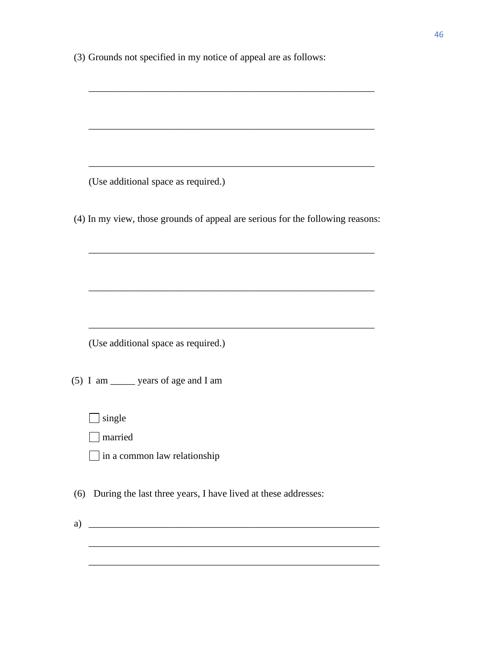(3) Grounds not specified in my notice of appeal are as follows:

(Use additional space as required.)

(4) In my view, those grounds of appeal are serious for the following reasons:

\_\_\_\_\_\_\_\_\_\_\_\_\_\_\_\_\_\_\_\_\_\_\_\_\_\_\_\_\_\_\_\_\_\_\_\_\_\_\_\_\_\_\_\_\_\_\_\_\_\_\_\_\_\_\_\_\_\_

\_\_\_\_\_\_\_\_\_\_\_\_\_\_\_\_\_\_\_\_\_\_\_\_\_\_\_\_\_\_\_\_\_\_\_\_\_\_\_\_\_\_\_\_\_\_\_\_\_\_\_\_\_\_\_\_\_\_

\_\_\_\_\_\_\_\_\_\_\_\_\_\_\_\_\_\_\_\_\_\_\_\_\_\_\_\_\_\_\_\_\_\_\_\_\_\_\_\_\_\_\_\_\_\_\_\_\_\_\_\_\_\_\_\_\_\_

\_\_\_\_\_\_\_\_\_\_\_\_\_\_\_\_\_\_\_\_\_\_\_\_\_\_\_\_\_\_\_\_\_\_\_\_\_\_\_\_\_\_\_\_\_\_\_\_\_\_\_\_\_\_\_\_\_\_

\_\_\_\_\_\_\_\_\_\_\_\_\_\_\_\_\_\_\_\_\_\_\_\_\_\_\_\_\_\_\_\_\_\_\_\_\_\_\_\_\_\_\_\_\_\_\_\_\_\_\_\_\_\_\_\_\_\_

(Use additional space as required.)

(5) I am \_\_\_\_\_ years of age and I am

 $\Box$  single

**narrived** 

 $\Box$  in a common law relationship

(6) During the last three years, I have lived at these addresses:

a)  $\Box$ 

\_\_\_\_\_\_\_\_\_\_\_\_\_\_\_\_\_\_\_\_\_\_\_\_\_\_\_\_\_\_\_\_\_\_\_\_\_\_\_\_\_\_\_\_\_\_\_\_\_\_\_\_\_\_\_\_\_\_\_

\_\_\_\_\_\_\_\_\_\_\_\_\_\_\_\_\_\_\_\_\_\_\_\_\_\_\_\_\_\_\_\_\_\_\_\_\_\_\_\_\_\_\_\_\_\_\_\_\_\_\_\_\_\_\_\_\_\_\_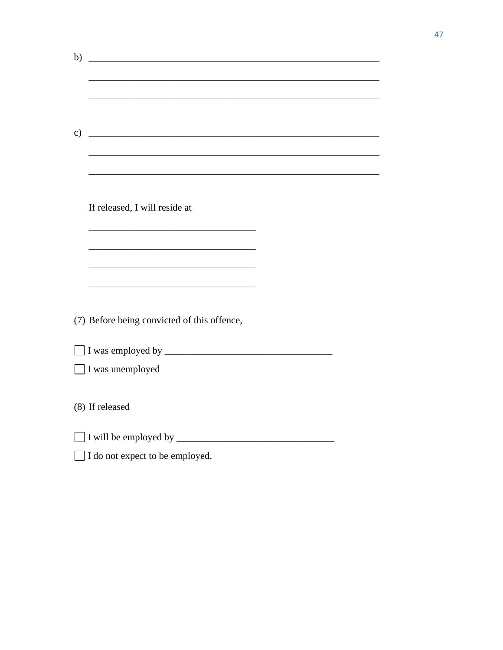| b)            | <u> 2000 - Jan James James Barnett, amerikan bisa dalam personal dan bisa dan bisa dan bisa dalam bisa dalam bisa</u> |  |
|---------------|-----------------------------------------------------------------------------------------------------------------------|--|
|               |                                                                                                                       |  |
|               |                                                                                                                       |  |
|               |                                                                                                                       |  |
|               |                                                                                                                       |  |
|               |                                                                                                                       |  |
| $\mathbf{c})$ | <u> 1988 - Johann John Stone, mars an deus Amerikaansk kommunister (</u>                                              |  |
|               |                                                                                                                       |  |
|               |                                                                                                                       |  |
|               |                                                                                                                       |  |
|               |                                                                                                                       |  |
|               |                                                                                                                       |  |
|               | If released, I will reside at                                                                                         |  |
|               |                                                                                                                       |  |
|               |                                                                                                                       |  |
|               |                                                                                                                       |  |
|               |                                                                                                                       |  |
|               |                                                                                                                       |  |
|               |                                                                                                                       |  |
|               |                                                                                                                       |  |
|               | (7) Before being convicted of this offence,                                                                           |  |
|               |                                                                                                                       |  |
|               |                                                                                                                       |  |
|               |                                                                                                                       |  |
|               | I was unemployed                                                                                                      |  |
|               |                                                                                                                       |  |
|               |                                                                                                                       |  |
|               | (8) If released                                                                                                       |  |
|               |                                                                                                                       |  |
|               |                                                                                                                       |  |
|               |                                                                                                                       |  |
|               | I do not expect to be employed.                                                                                       |  |
|               |                                                                                                                       |  |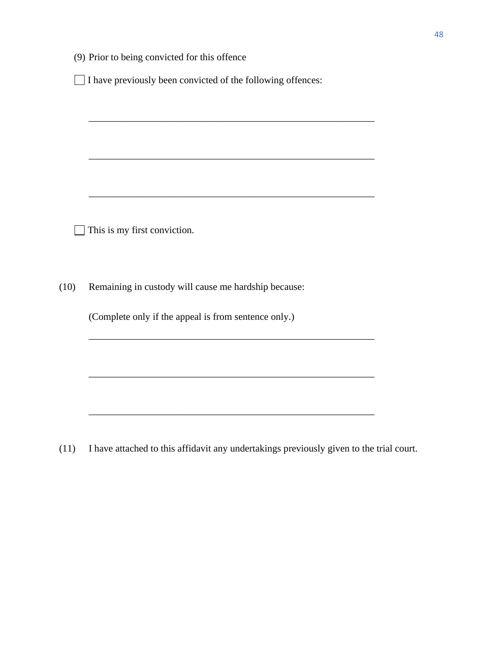|  |  |  | (9) Prior to being convicted for this offence |  |  |  |
|--|--|--|-----------------------------------------------|--|--|--|
|--|--|--|-----------------------------------------------|--|--|--|

 $\Box$  I have previously been convicted of the following offences:

\_\_\_\_\_\_\_\_\_\_\_\_\_\_\_\_\_\_\_\_\_\_\_\_\_\_\_\_\_\_\_\_\_\_\_\_\_\_\_\_\_\_\_\_\_\_\_\_\_\_\_\_\_\_\_\_\_\_

\_\_\_\_\_\_\_\_\_\_\_\_\_\_\_\_\_\_\_\_\_\_\_\_\_\_\_\_\_\_\_\_\_\_\_\_\_\_\_\_\_\_\_\_\_\_\_\_\_\_\_\_\_\_\_\_\_\_

\_\_\_\_\_\_\_\_\_\_\_\_\_\_\_\_\_\_\_\_\_\_\_\_\_\_\_\_\_\_\_\_\_\_\_\_\_\_\_\_\_\_\_\_\_\_\_\_\_\_\_\_\_\_\_\_\_\_

 $\Box$  This is my first conviction.

(10) Remaining in custody will cause me hardship because:

(Complete only if the appeal is from sentence only.)

(11) I have attached to this affidavit any undertakings previously given to the trial court.

\_\_\_\_\_\_\_\_\_\_\_\_\_\_\_\_\_\_\_\_\_\_\_\_\_\_\_\_\_\_\_\_\_\_\_\_\_\_\_\_\_\_\_\_\_\_\_\_\_\_\_\_\_\_\_\_\_\_

\_\_\_\_\_\_\_\_\_\_\_\_\_\_\_\_\_\_\_\_\_\_\_\_\_\_\_\_\_\_\_\_\_\_\_\_\_\_\_\_\_\_\_\_\_\_\_\_\_\_\_\_\_\_\_\_\_\_

\_\_\_\_\_\_\_\_\_\_\_\_\_\_\_\_\_\_\_\_\_\_\_\_\_\_\_\_\_\_\_\_\_\_\_\_\_\_\_\_\_\_\_\_\_\_\_\_\_\_\_\_\_\_\_\_\_\_